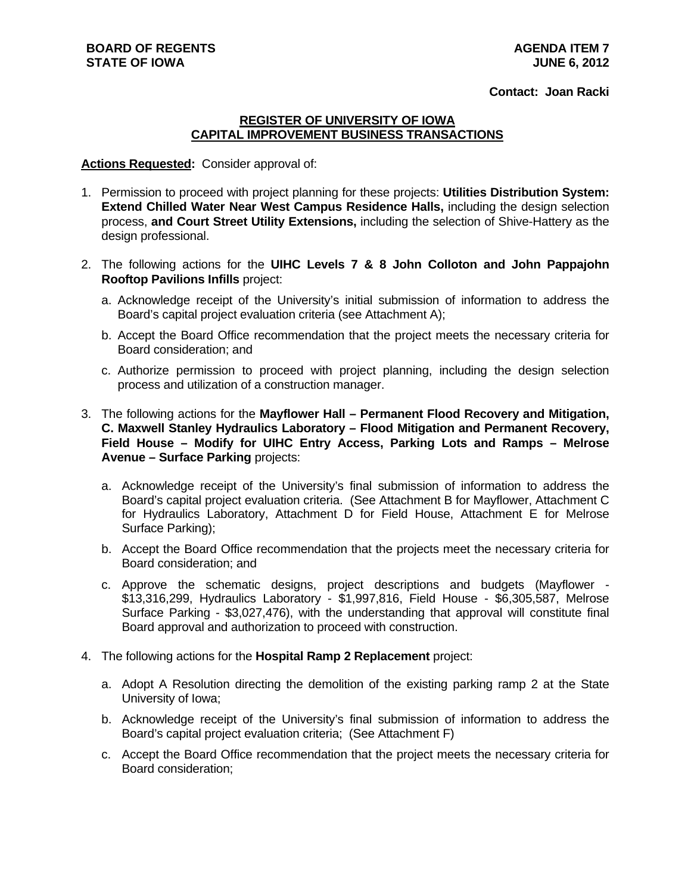**Contact: Joan Racki**

# **REGISTER OF UNIVERSITY OF IOWA CAPITAL IMPROVEMENT BUSINESS TRANSACTIONS**

#### **Actions Requested:** Consider approval of:

- 1. Permission to proceed with project planning for these projects: **Utilities Distribution System: Extend Chilled Water Near West Campus Residence Halls,** including the design selection process, **and Court Street Utility Extensions,** including the selection of Shive-Hattery as the design professional.
- 2. The following actions for the **UIHC Levels 7 & 8 John Colloton and John Pappajohn Rooftop Pavilions Infills** project:
	- a. Acknowledge receipt of the University's initial submission of information to address the Board's capital project evaluation criteria (see Attachment A);
	- b. Accept the Board Office recommendation that the project meets the necessary criteria for Board consideration; and
	- c. Authorize permission to proceed with project planning, including the design selection process and utilization of a construction manager.
- 3. The following actions for the **Mayflower Hall Permanent Flood Recovery and Mitigation, C. Maxwell Stanley Hydraulics Laboratory – Flood Mitigation and Permanent Recovery, Field House – Modify for UIHC Entry Access, Parking Lots and Ramps – Melrose Avenue – Surface Parking** projects:
	- a. Acknowledge receipt of the University's final submission of information to address the Board's capital project evaluation criteria. (See Attachment B for Mayflower, Attachment C for Hydraulics Laboratory, Attachment D for Field House, Attachment E for Melrose Surface Parking);
	- b. Accept the Board Office recommendation that the projects meet the necessary criteria for Board consideration; and
	- c. Approve the schematic designs, project descriptions and budgets (Mayflower \$13,316,299, Hydraulics Laboratory - \$1,997,816, Field House - \$6,305,587, Melrose Surface Parking - \$3,027,476), with the understanding that approval will constitute final Board approval and authorization to proceed with construction.
- 4. The following actions for the **Hospital Ramp 2 Replacement** project:
	- a. Adopt A Resolution directing the demolition of the existing parking ramp 2 at the State University of Iowa;
	- b. Acknowledge receipt of the University's final submission of information to address the Board's capital project evaluation criteria; (See Attachment F)
	- c. Accept the Board Office recommendation that the project meets the necessary criteria for Board consideration;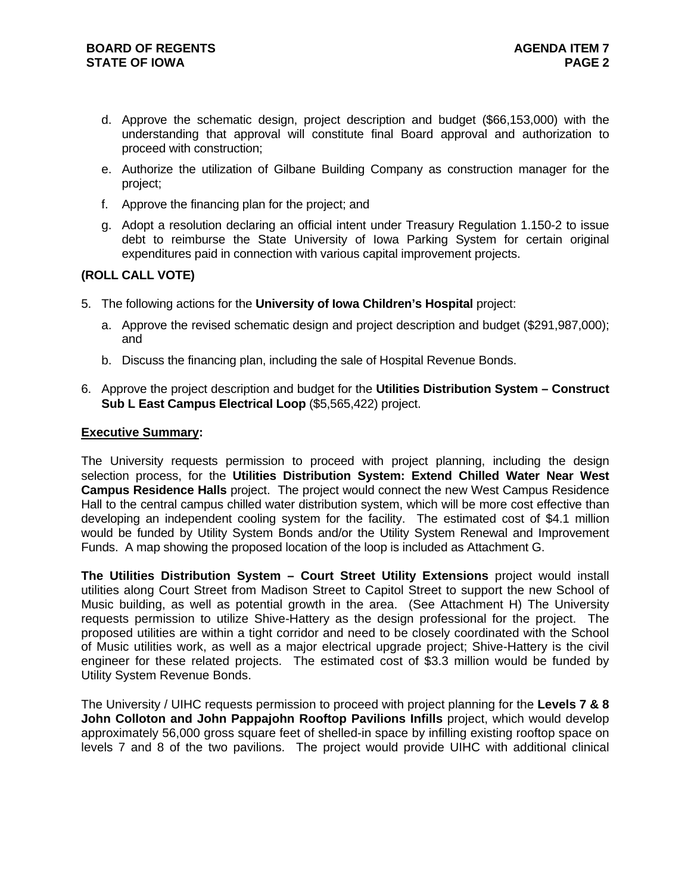- d. Approve the schematic design, project description and budget (\$66,153,000) with the understanding that approval will constitute final Board approval and authorization to proceed with construction;
- e. Authorize the utilization of Gilbane Building Company as construction manager for the project;
- f. Approve the financing plan for the project; and
- g. Adopt a resolution declaring an official intent under Treasury Regulation 1.150-2 to issue debt to reimburse the State University of Iowa Parking System for certain original expenditures paid in connection with various capital improvement projects.

# **(ROLL CALL VOTE)**

- 5. The following actions for the **University of Iowa Children's Hospital** project:
	- a. Approve the revised schematic design and project description and budget (\$291,987,000); and
	- b. Discuss the financing plan, including the sale of Hospital Revenue Bonds.
- 6. Approve the project description and budget for the **Utilities Distribution System Construct Sub L East Campus Electrical Loop** (\$5,565,422) project.

# **Executive Summary:**

The University requests permission to proceed with project planning, including the design selection process, for the **Utilities Distribution System: Extend Chilled Water Near West Campus Residence Halls** project. The project would connect the new West Campus Residence Hall to the central campus chilled water distribution system, which will be more cost effective than developing an independent cooling system for the facility. The estimated cost of \$4.1 million would be funded by Utility System Bonds and/or the Utility System Renewal and Improvement Funds. A map showing the proposed location of the loop is included as Attachment G.

**The Utilities Distribution System – Court Street Utility Extensions** project would install utilities along Court Street from Madison Street to Capitol Street to support the new School of Music building, as well as potential growth in the area. (See Attachment H) The University requests permission to utilize Shive-Hattery as the design professional for the project. The proposed utilities are within a tight corridor and need to be closely coordinated with the School of Music utilities work, as well as a major electrical upgrade project; Shive-Hattery is the civil engineer for these related projects. The estimated cost of \$3.3 million would be funded by Utility System Revenue Bonds.

The University / UIHC requests permission to proceed with project planning for the **Levels 7 & 8 John Colloton and John Pappajohn Rooftop Pavilions Infills** project, which would develop approximately 56,000 gross square feet of shelled-in space by infilling existing rooftop space on levels 7 and 8 of the two pavilions. The project would provide UIHC with additional clinical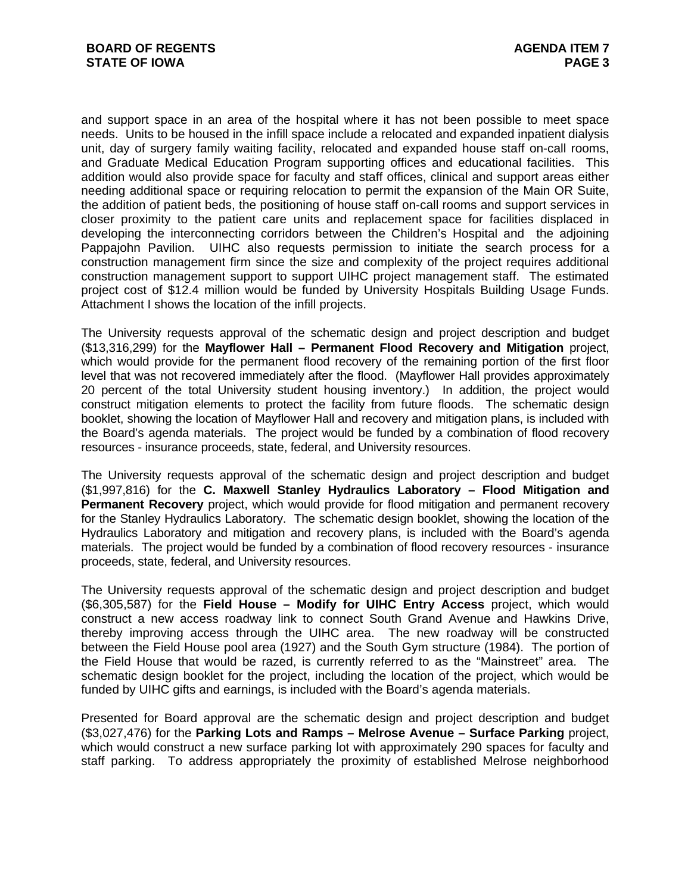and support space in an area of the hospital where it has not been possible to meet space needs. Units to be housed in the infill space include a relocated and expanded inpatient dialysis unit, day of surgery family waiting facility, relocated and expanded house staff on-call rooms, and Graduate Medical Education Program supporting offices and educational facilities. This addition would also provide space for faculty and staff offices, clinical and support areas either needing additional space or requiring relocation to permit the expansion of the Main OR Suite, the addition of patient beds, the positioning of house staff on-call rooms and support services in closer proximity to the patient care units and replacement space for facilities displaced in developing the interconnecting corridors between the Children's Hospital and the adjoining Pappajohn Pavilion. UIHC also requests permission to initiate the search process for a construction management firm since the size and complexity of the project requires additional construction management support to support UIHC project management staff. The estimated project cost of \$12.4 million would be funded by University Hospitals Building Usage Funds. Attachment I shows the location of the infill projects.

The University requests approval of the schematic design and project description and budget (\$13,316,299) for the **Mayflower Hall – Permanent Flood Recovery and Mitigation** project, which would provide for the permanent flood recovery of the remaining portion of the first floor level that was not recovered immediately after the flood. (Mayflower Hall provides approximately 20 percent of the total University student housing inventory.) In addition, the project would construct mitigation elements to protect the facility from future floods. The schematic design booklet, showing the location of Mayflower Hall and recovery and mitigation plans, is included with the Board's agenda materials. The project would be funded by a combination of flood recovery resources - insurance proceeds, state, federal, and University resources.

The University requests approval of the schematic design and project description and budget (\$1,997,816) for the **C. Maxwell Stanley Hydraulics Laboratory – Flood Mitigation and Permanent Recovery** project, which would provide for flood mitigation and permanent recovery for the Stanley Hydraulics Laboratory. The schematic design booklet, showing the location of the Hydraulics Laboratory and mitigation and recovery plans, is included with the Board's agenda materials. The project would be funded by a combination of flood recovery resources - insurance proceeds, state, federal, and University resources.

The University requests approval of the schematic design and project description and budget (\$6,305,587) for the **Field House – Modify for UIHC Entry Access** project, which would construct a new access roadway link to connect South Grand Avenue and Hawkins Drive, thereby improving access through the UIHC area. The new roadway will be constructed between the Field House pool area (1927) and the South Gym structure (1984). The portion of the Field House that would be razed, is currently referred to as the "Mainstreet" area. The schematic design booklet for the project, including the location of the project, which would be funded by UIHC gifts and earnings, is included with the Board's agenda materials.

Presented for Board approval are the schematic design and project description and budget (\$3,027,476) for the **Parking Lots and Ramps – Melrose Avenue – Surface Parking** project, which would construct a new surface parking lot with approximately 290 spaces for faculty and staff parking. To address appropriately the proximity of established Melrose neighborhood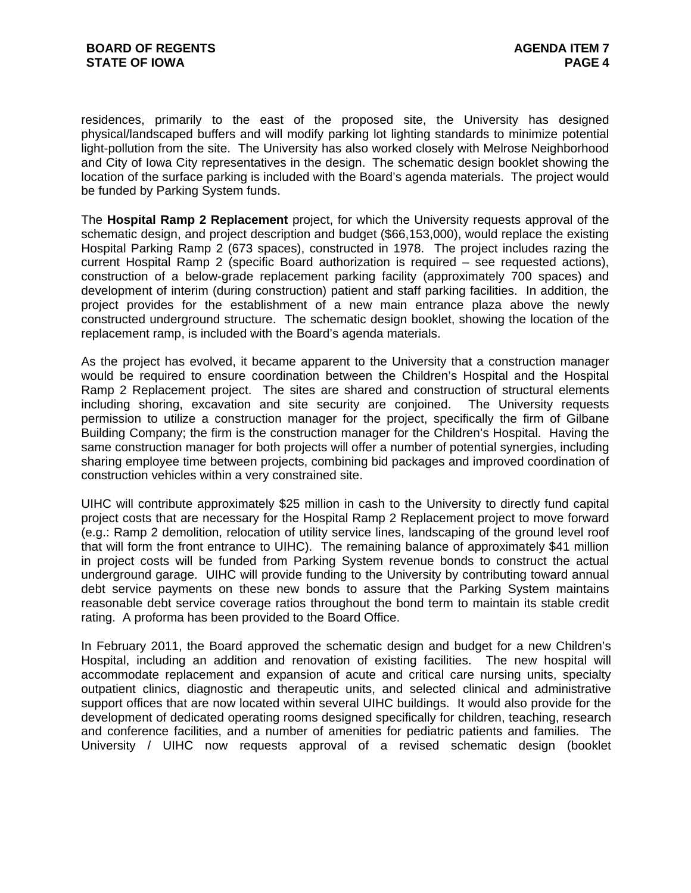residences, primarily to the east of the proposed site, the University has designed physical/landscaped buffers and will modify parking lot lighting standards to minimize potential light-pollution from the site. The University has also worked closely with Melrose Neighborhood and City of Iowa City representatives in the design. The schematic design booklet showing the location of the surface parking is included with the Board's agenda materials. The project would be funded by Parking System funds.

The **Hospital Ramp 2 Replacement** project, for which the University requests approval of the schematic design, and project description and budget (\$66,153,000), would replace the existing Hospital Parking Ramp 2 (673 spaces), constructed in 1978. The project includes razing the current Hospital Ramp 2 (specific Board authorization is required – see requested actions), construction of a below-grade replacement parking facility (approximately 700 spaces) and development of interim (during construction) patient and staff parking facilities. In addition, the project provides for the establishment of a new main entrance plaza above the newly constructed underground structure. The schematic design booklet, showing the location of the replacement ramp, is included with the Board's agenda materials.

As the project has evolved, it became apparent to the University that a construction manager would be required to ensure coordination between the Children's Hospital and the Hospital Ramp 2 Replacement project. The sites are shared and construction of structural elements including shoring, excavation and site security are conjoined. The University requests permission to utilize a construction manager for the project, specifically the firm of Gilbane Building Company; the firm is the construction manager for the Children's Hospital. Having the same construction manager for both projects will offer a number of potential synergies, including sharing employee time between projects, combining bid packages and improved coordination of construction vehicles within a very constrained site.

UIHC will contribute approximately \$25 million in cash to the University to directly fund capital project costs that are necessary for the Hospital Ramp 2 Replacement project to move forward (e.g.: Ramp 2 demolition, relocation of utility service lines, landscaping of the ground level roof that will form the front entrance to UIHC). The remaining balance of approximately \$41 million in project costs will be funded from Parking System revenue bonds to construct the actual underground garage. UIHC will provide funding to the University by contributing toward annual debt service payments on these new bonds to assure that the Parking System maintains reasonable debt service coverage ratios throughout the bond term to maintain its stable credit rating. A proforma has been provided to the Board Office.

In February 2011, the Board approved the schematic design and budget for a new Children's Hospital, including an addition and renovation of existing facilities. The new hospital will accommodate replacement and expansion of acute and critical care nursing units, specialty outpatient clinics, diagnostic and therapeutic units, and selected clinical and administrative support offices that are now located within several UIHC buildings. It would also provide for the development of dedicated operating rooms designed specifically for children, teaching, research and conference facilities, and a number of amenities for pediatric patients and families. The University / UIHC now requests approval of a revised schematic design (booklet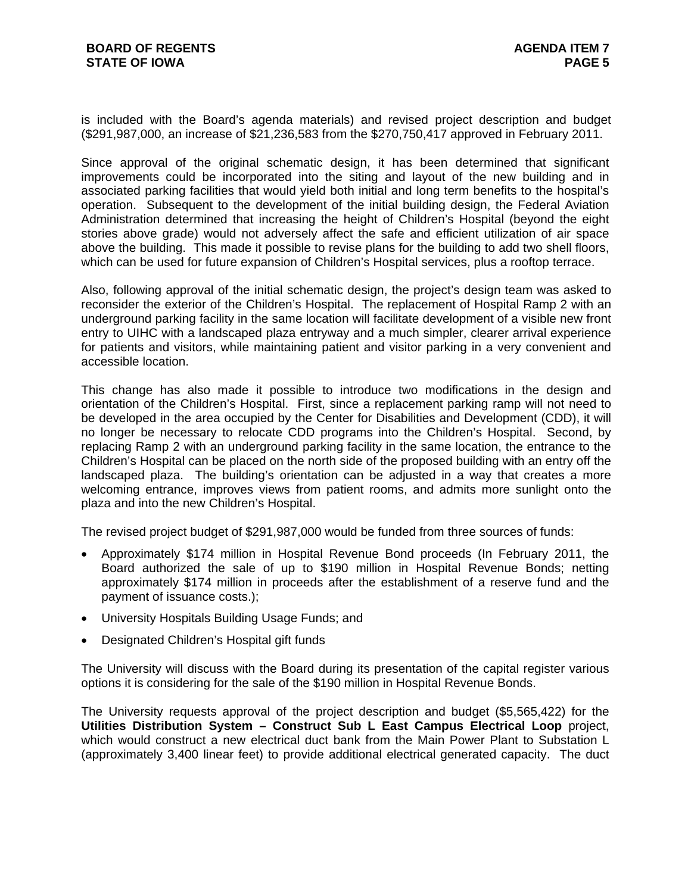is included with the Board's agenda materials) and revised project description and budget (\$291,987,000, an increase of \$21,236,583 from the \$270,750,417 approved in February 2011.

Since approval of the original schematic design, it has been determined that significant improvements could be incorporated into the siting and layout of the new building and in associated parking facilities that would yield both initial and long term benefits to the hospital's operation. Subsequent to the development of the initial building design, the Federal Aviation Administration determined that increasing the height of Children's Hospital (beyond the eight stories above grade) would not adversely affect the safe and efficient utilization of air space above the building. This made it possible to revise plans for the building to add two shell floors, which can be used for future expansion of Children's Hospital services, plus a rooftop terrace.

Also, following approval of the initial schematic design, the project's design team was asked to reconsider the exterior of the Children's Hospital. The replacement of Hospital Ramp 2 with an underground parking facility in the same location will facilitate development of a visible new front entry to UIHC with a landscaped plaza entryway and a much simpler, clearer arrival experience for patients and visitors, while maintaining patient and visitor parking in a very convenient and accessible location.

This change has also made it possible to introduce two modifications in the design and orientation of the Children's Hospital. First, since a replacement parking ramp will not need to be developed in the area occupied by the Center for Disabilities and Development (CDD), it will no longer be necessary to relocate CDD programs into the Children's Hospital. Second, by replacing Ramp 2 with an underground parking facility in the same location, the entrance to the Children's Hospital can be placed on the north side of the proposed building with an entry off the landscaped plaza. The building's orientation can be adjusted in a way that creates a more welcoming entrance, improves views from patient rooms, and admits more sunlight onto the plaza and into the new Children's Hospital.

The revised project budget of \$291,987,000 would be funded from three sources of funds:

- Approximately \$174 million in Hospital Revenue Bond proceeds (In February 2011, the Board authorized the sale of up to \$190 million in Hospital Revenue Bonds; netting approximately \$174 million in proceeds after the establishment of a reserve fund and the payment of issuance costs.);
- University Hospitals Building Usage Funds; and
- Designated Children's Hospital gift funds

The University will discuss with the Board during its presentation of the capital register various options it is considering for the sale of the \$190 million in Hospital Revenue Bonds.

The University requests approval of the project description and budget (\$5,565,422) for the **Utilities Distribution System – Construct Sub L East Campus Electrical Loop** project, which would construct a new electrical duct bank from the Main Power Plant to Substation L (approximately 3,400 linear feet) to provide additional electrical generated capacity. The duct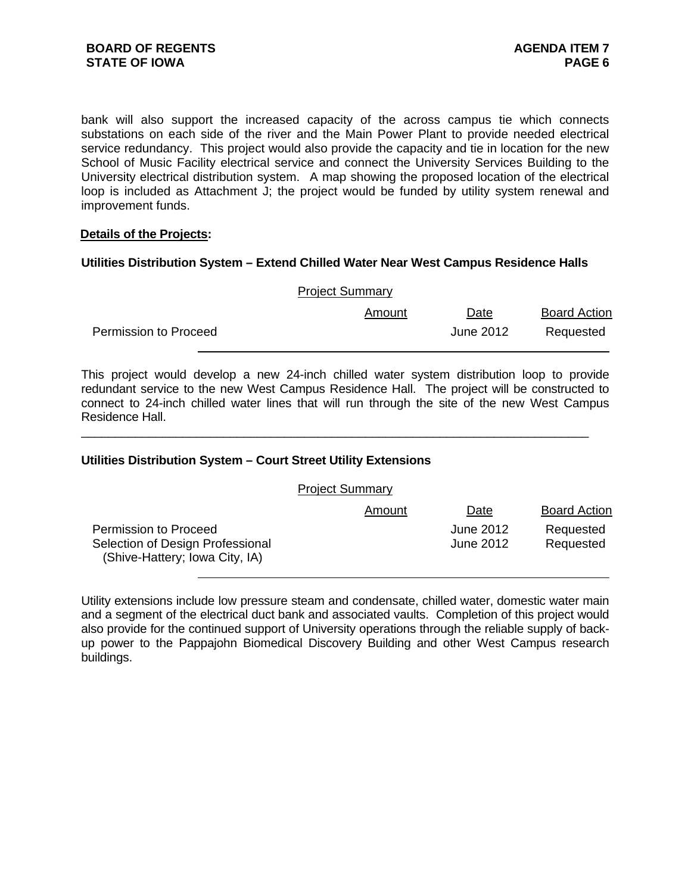bank will also support the increased capacity of the across campus tie which connects substations on each side of the river and the Main Power Plant to provide needed electrical service redundancy. This project would also provide the capacity and tie in location for the new School of Music Facility electrical service and connect the University Services Building to the University electrical distribution system. A map showing the proposed location of the electrical loop is included as Attachment J; the project would be funded by utility system renewal and improvement funds.

#### **Details of the Projects:**

#### **Utilities Distribution System – Extend Chilled Water Near West Campus Residence Halls**

|                              | Amount | Date      | <b>Board Action</b> |
|------------------------------|--------|-----------|---------------------|
| <b>Permission to Proceed</b> |        | June 2012 | Requested           |

This project would develop a new 24-inch chilled water system distribution loop to provide redundant service to the new West Campus Residence Hall. The project will be constructed to connect to 24-inch chilled water lines that will run through the site of the new West Campus Residence Hall.

\_\_\_\_\_\_\_\_\_\_\_\_\_\_\_\_\_\_\_\_\_\_\_\_\_\_\_\_\_\_\_\_\_\_\_\_\_\_\_\_\_\_\_\_\_\_\_\_\_\_\_\_\_\_\_\_\_\_\_\_\_\_\_\_\_\_\_\_\_\_\_\_\_\_\_

#### **Utilities Distribution System – Court Street Utility Extensions**

|                                                                                             | <b>Project Summary</b> |                        |                        |
|---------------------------------------------------------------------------------------------|------------------------|------------------------|------------------------|
|                                                                                             | Amount                 | Date                   | <b>Board Action</b>    |
| Permission to Proceed<br>Selection of Design Professional<br>(Shive-Hattery; Iowa City, IA) |                        | June 2012<br>June 2012 | Requested<br>Requested |

Utility extensions include low pressure steam and condensate, chilled water, domestic water main and a segment of the electrical duct bank and associated vaults. Completion of this project would also provide for the continued support of University operations through the reliable supply of backup power to the Pappajohn Biomedical Discovery Building and other West Campus research buildings.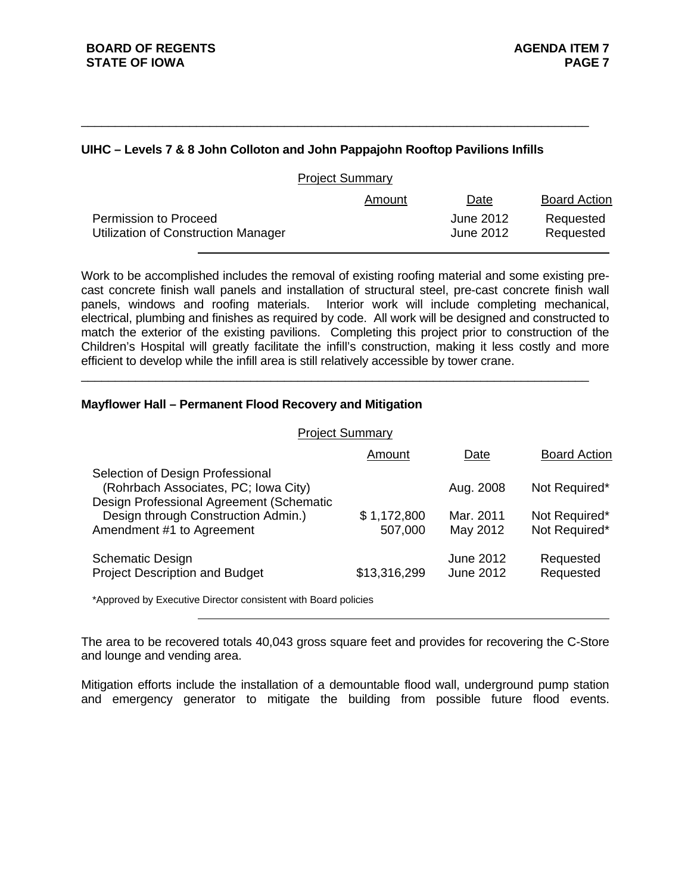# **UIHC – Levels 7 & 8 John Colloton and John Pappajohn Rooftop Pavilions Infills**

\_\_\_\_\_\_\_\_\_\_\_\_\_\_\_\_\_\_\_\_\_\_\_\_\_\_\_\_\_\_\_\_\_\_\_\_\_\_\_\_\_\_\_\_\_\_\_\_\_\_\_\_\_\_\_\_\_\_\_\_\_\_\_\_\_\_\_\_\_\_\_\_\_\_\_

|                                                                            | <b>Project Summary</b> |                        |                        |
|----------------------------------------------------------------------------|------------------------|------------------------|------------------------|
|                                                                            | Amount                 | Date                   | <b>Board Action</b>    |
| <b>Permission to Proceed</b><br><b>Utilization of Construction Manager</b> |                        | June 2012<br>June 2012 | Requested<br>Requested |

Work to be accomplished includes the removal of existing roofing material and some existing precast concrete finish wall panels and installation of structural steel, pre-cast concrete finish wall panels, windows and roofing materials. Interior work will include completing mechanical, electrical, plumbing and finishes as required by code. All work will be designed and constructed to match the exterior of the existing pavilions. Completing this project prior to construction of the Children's Hospital will greatly facilitate the infill's construction, making it less costly and more efficient to develop while the infill area is still relatively accessible by tower crane.

\_\_\_\_\_\_\_\_\_\_\_\_\_\_\_\_\_\_\_\_\_\_\_\_\_\_\_\_\_\_\_\_\_\_\_\_\_\_\_\_\_\_\_\_\_\_\_\_\_\_\_\_\_\_\_\_\_\_\_\_\_\_\_\_\_\_\_\_\_\_\_\_\_\_\_

# **Mayflower Hall – Permanent Flood Recovery and Mitigation**

| <b>Project Summary</b>                                                                                               |                        |                        |                                |
|----------------------------------------------------------------------------------------------------------------------|------------------------|------------------------|--------------------------------|
|                                                                                                                      | Amount                 | Date                   | <b>Board Action</b>            |
| Selection of Design Professional<br>(Rohrbach Associates, PC; Iowa City)<br>Design Professional Agreement (Schematic |                        | Aug. 2008              | Not Required*                  |
| Design through Construction Admin.)<br>Amendment #1 to Agreement                                                     | \$1,172,800<br>507,000 | Mar. 2011<br>May 2012  | Not Required*<br>Not Required* |
| <b>Schematic Design</b><br><b>Project Description and Budget</b>                                                     | \$13,316,299           | June 2012<br>June 2012 | Requested<br>Requested         |

\*Approved by Executive Director consistent with Board policies

The area to be recovered totals 40,043 gross square feet and provides for recovering the C-Store and lounge and vending area.

Mitigation efforts include the installation of a demountable flood wall, underground pump station and emergency generator to mitigate the building from possible future flood events.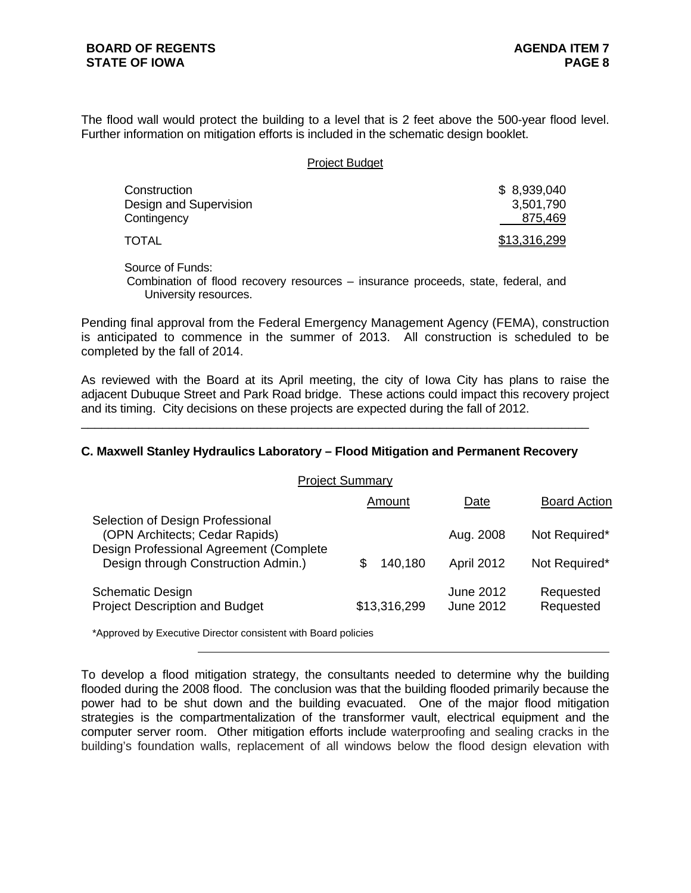The flood wall would protect the building to a level that is 2 feet above the 500-year flood level. Further information on mitigation efforts is included in the schematic design booklet.

#### Project Budget

| Construction<br>Design and Supervision | \$8,939,040<br>3,501,790 |
|----------------------------------------|--------------------------|
| Contingency                            | 875,469                  |
| TOTAL                                  | \$13,316,299             |

Source of Funds:

Combination of flood recovery resources – insurance proceeds, state, federal, and University resources.

Pending final approval from the Federal Emergency Management Agency (FEMA), construction is anticipated to commence in the summer of 2013. All construction is scheduled to be completed by the fall of 2014.

As reviewed with the Board at its April meeting, the city of Iowa City has plans to raise the adjacent Dubuque Street and Park Road bridge. These actions could impact this recovery project and its timing. City decisions on these projects are expected during the fall of 2012.

#### **C. Maxwell Stanley Hydraulics Laboratory – Flood Mitigation and Permanent Recovery**

\_\_\_\_\_\_\_\_\_\_\_\_\_\_\_\_\_\_\_\_\_\_\_\_\_\_\_\_\_\_\_\_\_\_\_\_\_\_\_\_\_\_\_\_\_\_\_\_\_\_\_\_\_\_\_\_\_\_\_\_\_\_\_\_\_\_\_\_\_\_\_\_\_\_\_

| <b>Project Summary</b>                                                                                        |              |                        |                        |  |
|---------------------------------------------------------------------------------------------------------------|--------------|------------------------|------------------------|--|
|                                                                                                               | Amount       | <u>Date</u>            | <b>Board Action</b>    |  |
| Selection of Design Professional<br>(OPN Architects; Cedar Rapids)<br>Design Professional Agreement (Complete |              | Aug. 2008              | Not Required*          |  |
| Design through Construction Admin.)                                                                           | 140,180<br>S | April 2012             | Not Required*          |  |
| <b>Schematic Design</b><br><b>Project Description and Budget</b>                                              | \$13,316,299 | June 2012<br>June 2012 | Requested<br>Requested |  |

\*Approved by Executive Director consistent with Board policies

To develop a flood mitigation strategy, the consultants needed to determine why the building flooded during the 2008 flood. The conclusion was that the building flooded primarily because the power had to be shut down and the building evacuated. One of the major flood mitigation strategies is the compartmentalization of the transformer vault, electrical equipment and the computer server room. Other mitigation efforts include waterproofing and sealing cracks in the building's foundation walls, replacement of all windows below the flood design elevation with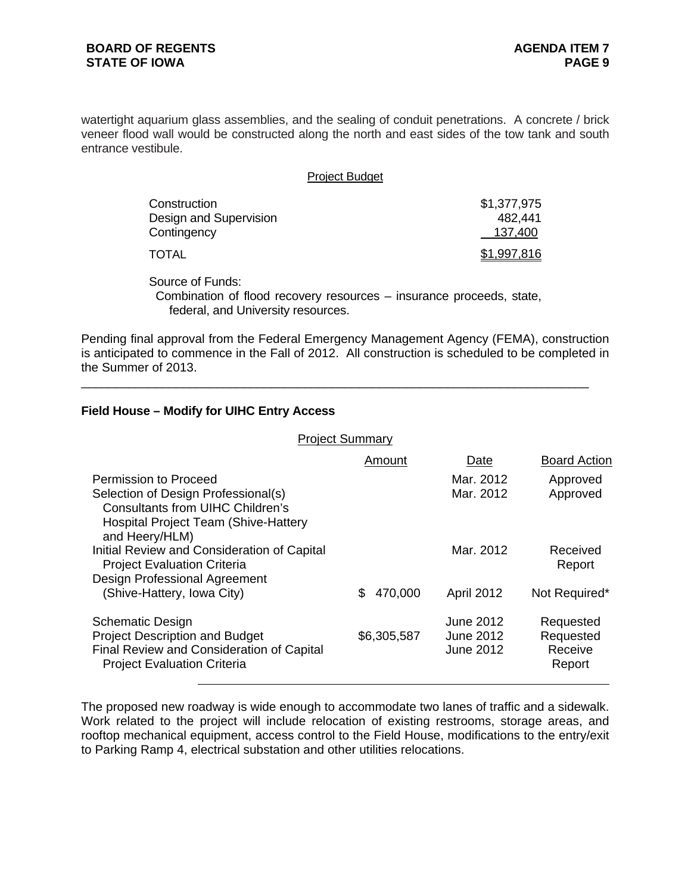watertight aquarium glass assemblies, and the sealing of conduit penetrations. A concrete / brick veneer flood wall would be constructed along the north and east sides of the tow tank and south entrance vestibule.

| <b>Project Budget</b>                                 |                                   |  |
|-------------------------------------------------------|-----------------------------------|--|
| Construction<br>Design and Supervision<br>Contingency | \$1,377,975<br>482.441<br>137,400 |  |
| TOTAL                                                 | \$1,997,816                       |  |

Source of Funds:

 Combination of flood recovery resources – insurance proceeds, state, federal, and University resources.

Pending final approval from the Federal Emergency Management Agency (FEMA), construction is anticipated to commence in the Fall of 2012. All construction is scheduled to be completed in the Summer of 2013.

\_\_\_\_\_\_\_\_\_\_\_\_\_\_\_\_\_\_\_\_\_\_\_\_\_\_\_\_\_\_\_\_\_\_\_\_\_\_\_\_\_\_\_\_\_\_\_\_\_\_\_\_\_\_\_\_\_\_\_\_\_\_\_\_\_\_\_\_\_\_\_\_\_\_\_

# **Field House – Modify for UIHC Entry Access**

| <b>Project Summary</b>                                                                                                                                                   |                |                                                   |                                             |
|--------------------------------------------------------------------------------------------------------------------------------------------------------------------------|----------------|---------------------------------------------------|---------------------------------------------|
|                                                                                                                                                                          | Amount         | Date                                              | <b>Board Action</b>                         |
| Permission to Proceed<br>Selection of Design Professional(s)<br><b>Consultants from UIHC Children's</b><br><b>Hospital Project Team (Shive-Hattery</b><br>and Heery/HLM) |                | Mar. 2012<br>Mar. 2012                            | Approved<br>Approved                        |
| Initial Review and Consideration of Capital<br><b>Project Evaluation Criteria</b><br><b>Design Professional Agreement</b>                                                |                | Mar. 2012                                         | Received<br>Report                          |
| (Shive-Hattery, Iowa City)                                                                                                                                               | 470,000<br>\$. | April 2012                                        | Not Required*                               |
| <b>Schematic Design</b><br><b>Project Description and Budget</b><br>Final Review and Consideration of Capital<br><b>Project Evaluation Criteria</b>                      | \$6,305,587    | June 2012<br><b>June 2012</b><br><b>June 2012</b> | Requested<br>Requested<br>Receive<br>Report |

The proposed new roadway is wide enough to accommodate two lanes of traffic and a sidewalk. Work related to the project will include relocation of existing restrooms, storage areas, and rooftop mechanical equipment, access control to the Field House, modifications to the entry/exit to Parking Ramp 4, electrical substation and other utilities relocations.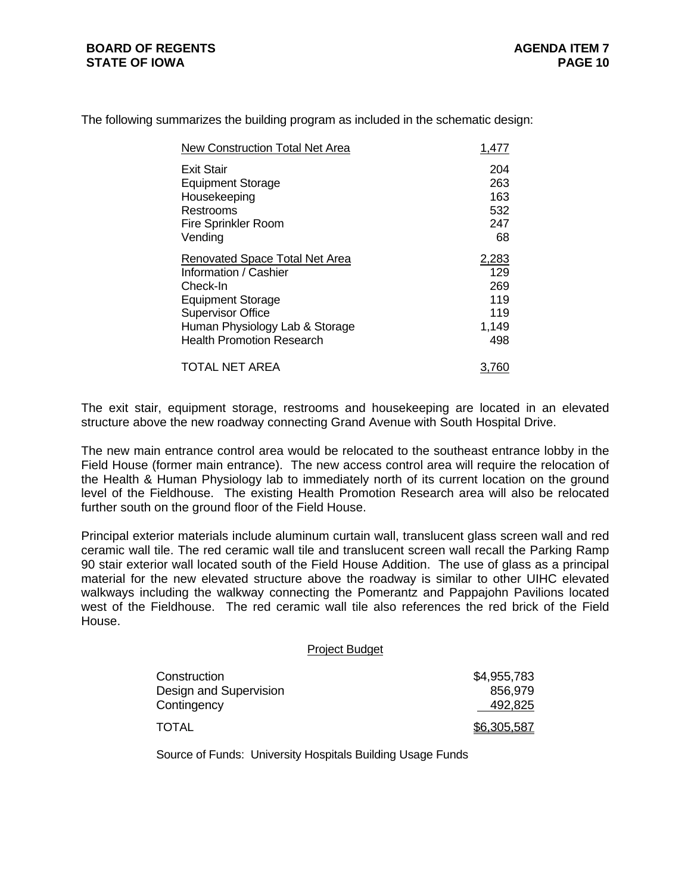| New Construction Total Net Area       | 1,477        |
|---------------------------------------|--------------|
| Exit Stair                            | 204          |
| <b>Equipment Storage</b>              | 263          |
| Housekeeping                          | 163          |
| Restrooms                             | 532          |
| <b>Fire Sprinkler Room</b>            | 247          |
| Vending                               | 68           |
| <b>Renovated Space Total Net Area</b> | <u>2,283</u> |
| Information / Cashier                 | 129          |
| Check-In                              | 269          |
| <b>Equipment Storage</b>              | 119          |
| <b>Supervisor Office</b>              | 119          |
| Human Physiology Lab & Storage        | 1,149        |
| <b>Health Promotion Research</b>      | 498          |
| <b>TOTAL NET AREA</b>                 | 3.761        |

The following summarizes the building program as included in the schematic design:

The exit stair, equipment storage, restrooms and housekeeping are located in an elevated structure above the new roadway connecting Grand Avenue with South Hospital Drive.

The new main entrance control area would be relocated to the southeast entrance lobby in the Field House (former main entrance). The new access control area will require the relocation of the Health & Human Physiology lab to immediately north of its current location on the ground level of the Fieldhouse. The existing Health Promotion Research area will also be relocated further south on the ground floor of the Field House.

Principal exterior materials include aluminum curtain wall, translucent glass screen wall and red ceramic wall tile. The red ceramic wall tile and translucent screen wall recall the Parking Ramp 90 stair exterior wall located south of the Field House Addition. The use of glass as a principal material for the new elevated structure above the roadway is similar to other UIHC elevated walkways including the walkway connecting the Pomerantz and Pappajohn Pavilions located west of the Fieldhouse. The red ceramic wall tile also references the red brick of the Field House.

# Project Budget Construction \$4,955,783 Design and Supervision 856,979 Contingency 492,825 TOTAL 36,305,587

Source of Funds: University Hospitals Building Usage Funds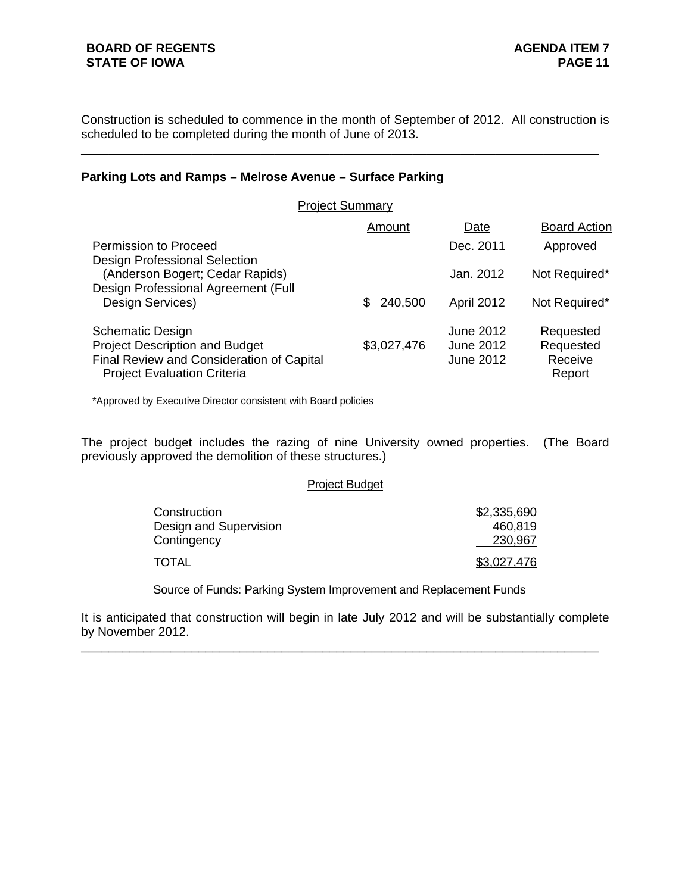Construction is scheduled to commence in the month of September of 2012. All construction is scheduled to be completed during the month of June of 2013.

\_\_\_\_\_\_\_\_\_\_\_\_\_\_\_\_\_\_\_\_\_\_\_\_\_\_\_\_\_\_\_\_\_\_\_\_\_\_\_\_\_\_\_\_\_\_\_\_\_\_\_\_\_\_\_\_\_\_\_\_\_\_\_\_\_\_\_\_\_\_\_\_\_\_\_

# **Parking Lots and Ramps – Melrose Avenue – Surface Parking**

| <b>Project Summary</b>                                                                                                                              |                |                                     |                                             |
|-----------------------------------------------------------------------------------------------------------------------------------------------------|----------------|-------------------------------------|---------------------------------------------|
|                                                                                                                                                     | Amount         | <b>Date</b>                         | <b>Board Action</b>                         |
| Permission to Proceed                                                                                                                               |                | Dec. 2011                           | Approved                                    |
| Design Professional Selection<br>(Anderson Bogert; Cedar Rapids)                                                                                    |                | Jan. 2012                           | Not Required*                               |
| Design Professional Agreement (Full<br>Design Services)                                                                                             | 240,500<br>\$. | <b>April 2012</b>                   | Not Required*                               |
| <b>Schematic Design</b><br><b>Project Description and Budget</b><br>Final Review and Consideration of Capital<br><b>Project Evaluation Criteria</b> | \$3,027,476    | June 2012<br>June 2012<br>June 2012 | Requested<br>Requested<br>Receive<br>Report |

\*Approved by Executive Director consistent with Board policies

The project budget includes the razing of nine University owned properties. (The Board previously approved the demolition of these structures.)

#### Project Budget

| Construction           | \$2,335,690 |
|------------------------|-------------|
| Design and Supervision | 460,819     |
| Contingency            | 230,967     |
| TOTAL                  | \$3,027,476 |

Source of Funds: Parking System Improvement and Replacement Funds

It is anticipated that construction will begin in late July 2012 and will be substantially complete by November 2012.

\_\_\_\_\_\_\_\_\_\_\_\_\_\_\_\_\_\_\_\_\_\_\_\_\_\_\_\_\_\_\_\_\_\_\_\_\_\_\_\_\_\_\_\_\_\_\_\_\_\_\_\_\_\_\_\_\_\_\_\_\_\_\_\_\_\_\_\_\_\_\_\_\_\_\_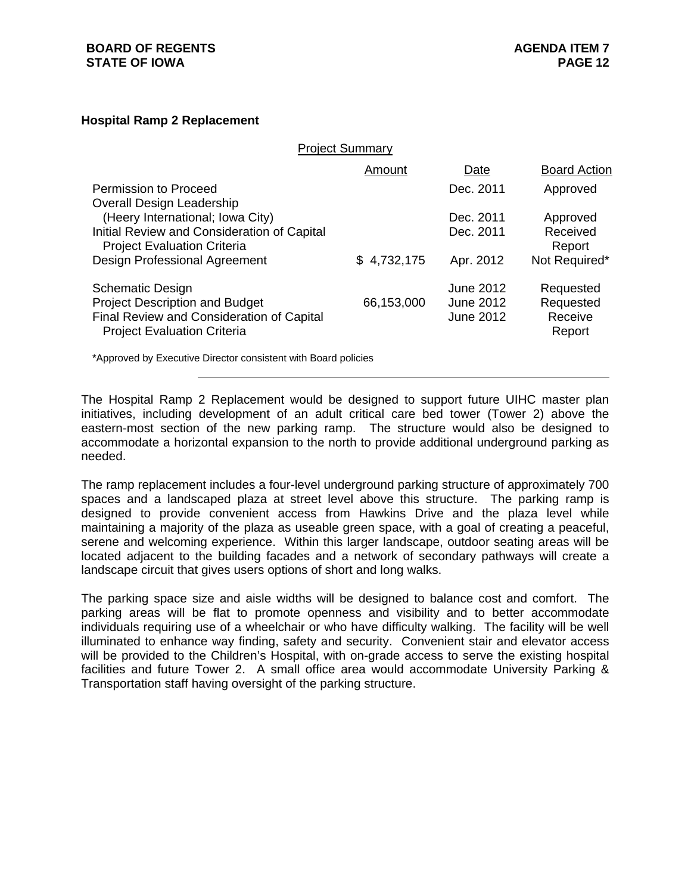#### **Hospital Ramp 2 Replacement**

|                                                                                   | <b>Project Summary</b> |                  |                     |
|-----------------------------------------------------------------------------------|------------------------|------------------|---------------------|
|                                                                                   | Amount                 | Date             | <b>Board Action</b> |
| Permission to Proceed                                                             |                        | Dec. 2011        | Approved            |
| Overall Design Leadership<br>(Heery International; Iowa City)                     |                        | Dec. 2011        | Approved            |
| Initial Review and Consideration of Capital<br><b>Project Evaluation Criteria</b> |                        | Dec. 2011        | Received<br>Report  |
| <b>Design Professional Agreement</b>                                              | \$4,732,175            | Apr. 2012        | Not Required*       |
| <b>Schematic Design</b>                                                           |                        | June 2012        | Requested           |
| <b>Project Description and Budget</b>                                             | 66,153,000             | June 2012        | Requested           |
| Final Review and Consideration of Capital                                         |                        | <b>June 2012</b> | Receive             |
| <b>Project Evaluation Criteria</b>                                                |                        |                  | Report              |
| *Approved by Executive Director consistent with Board policies                    |                        |                  |                     |

The Hospital Ramp 2 Replacement would be designed to support future UIHC master plan initiatives, including development of an adult critical care bed tower (Tower 2) above the eastern-most section of the new parking ramp. The structure would also be designed to accommodate a horizontal expansion to the north to provide additional underground parking as needed.

The ramp replacement includes a four-level underground parking structure of approximately 700 spaces and a landscaped plaza at street level above this structure. The parking ramp is designed to provide convenient access from Hawkins Drive and the plaza level while maintaining a majority of the plaza as useable green space, with a goal of creating a peaceful, serene and welcoming experience. Within this larger landscape, outdoor seating areas will be located adjacent to the building facades and a network of secondary pathways will create a landscape circuit that gives users options of short and long walks.

The parking space size and aisle widths will be designed to balance cost and comfort. The parking areas will be flat to promote openness and visibility and to better accommodate individuals requiring use of a wheelchair or who have difficulty walking. The facility will be well illuminated to enhance way finding, safety and security. Convenient stair and elevator access will be provided to the Children's Hospital, with on-grade access to serve the existing hospital facilities and future Tower 2. A small office area would accommodate University Parking & Transportation staff having oversight of the parking structure.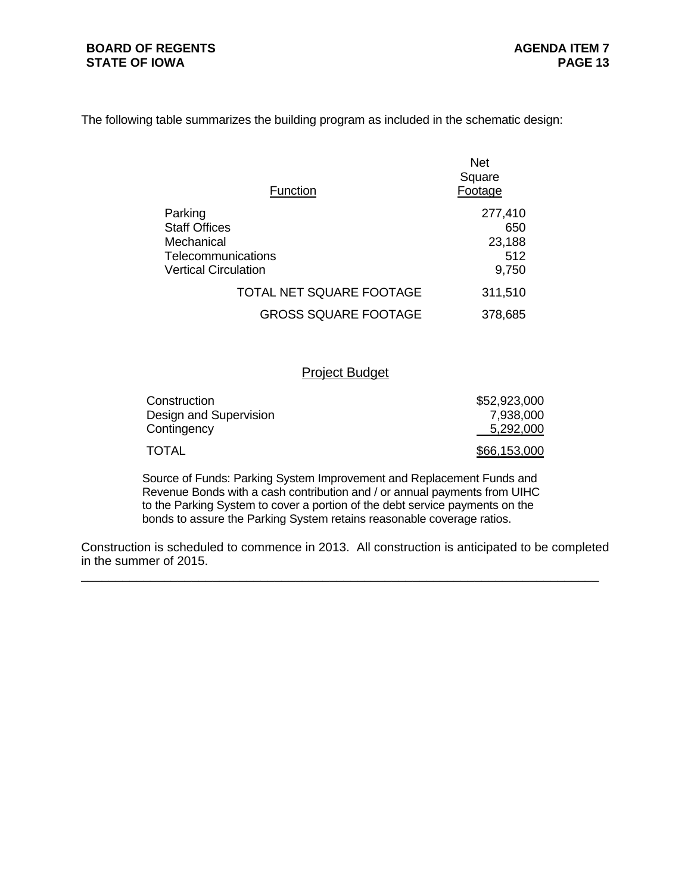The following table summarizes the building program as included in the schematic design:

| Function                                                                                                  | <b>Net</b><br>Square<br>Footage          |
|-----------------------------------------------------------------------------------------------------------|------------------------------------------|
| Parking<br><b>Staff Offices</b><br>Mechanical<br><b>Telecommunications</b><br><b>Vertical Circulation</b> | 277,410<br>650<br>23,188<br>512<br>9,750 |
| TOTAL NET SQUARE FOOTAGE                                                                                  | 311,510                                  |
| <b>GROSS SQUARE FOOTAGE</b>                                                                               | 378,685                                  |

# Project Budget

| Construction           | \$52,923,000 |
|------------------------|--------------|
| Design and Supervision | 7,938,000    |
| Contingency            | 5,292,000    |
| TOTAL                  | \$66,153,000 |

Source of Funds: Parking System Improvement and Replacement Funds and Revenue Bonds with a cash contribution and / or annual payments from UIHC to the Parking System to cover a portion of the debt service payments on the bonds to assure the Parking System retains reasonable coverage ratios.

Construction is scheduled to commence in 2013. All construction is anticipated to be completed in the summer of 2015.

\_\_\_\_\_\_\_\_\_\_\_\_\_\_\_\_\_\_\_\_\_\_\_\_\_\_\_\_\_\_\_\_\_\_\_\_\_\_\_\_\_\_\_\_\_\_\_\_\_\_\_\_\_\_\_\_\_\_\_\_\_\_\_\_\_\_\_\_\_\_\_\_\_\_\_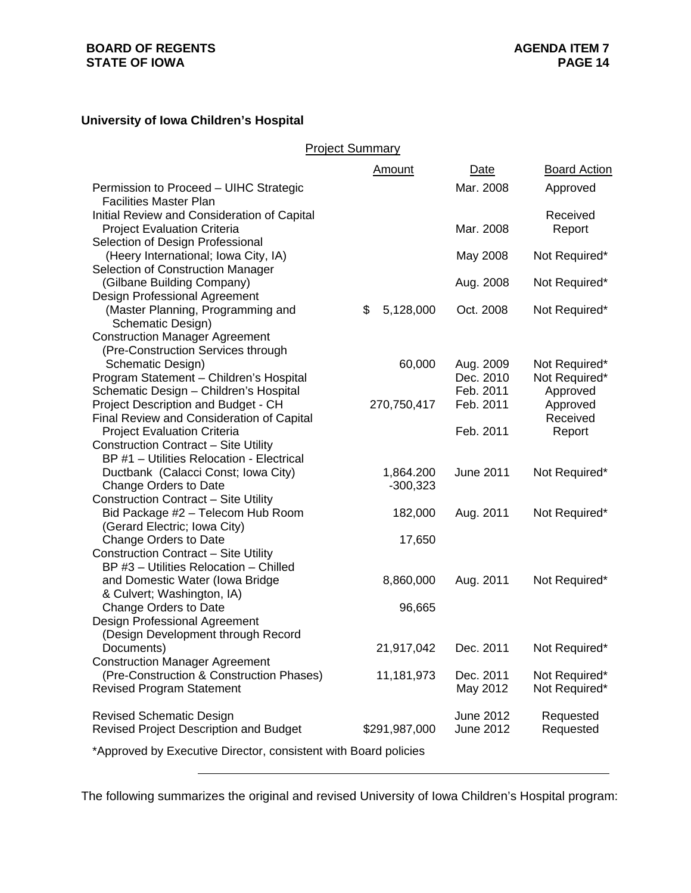#### **BOARD OF REGENTS STATE OF IOWA**

# **University of Iowa Children's Hospital**

Project Summary

|                                                                             | Amount          | Date             | <b>Board Action</b> |
|-----------------------------------------------------------------------------|-----------------|------------------|---------------------|
| Permission to Proceed - UIHC Strategic<br><b>Facilities Master Plan</b>     |                 | Mar. 2008        | Approved            |
| Initial Review and Consideration of Capital                                 |                 |                  | Received            |
| <b>Project Evaluation Criteria</b>                                          |                 | Mar. 2008        | Report              |
| Selection of Design Professional                                            |                 |                  |                     |
| (Heery International; Iowa City, IA)                                        |                 | May 2008         | Not Required*       |
| Selection of Construction Manager                                           |                 |                  |                     |
| (Gilbane Building Company)                                                  |                 | Aug. 2008        | Not Required*       |
| Design Professional Agreement                                               |                 |                  |                     |
| (Master Planning, Programming and                                           | 5,128,000<br>\$ | Oct. 2008        | Not Required*       |
| Schematic Design)                                                           |                 |                  |                     |
| <b>Construction Manager Agreement</b><br>(Pre-Construction Services through |                 |                  |                     |
| Schematic Design)                                                           | 60,000          | Aug. 2009        | Not Required*       |
| Program Statement - Children's Hospital                                     |                 | Dec. 2010        | Not Required*       |
| Schematic Design - Children's Hospital                                      |                 | Feb. 2011        | Approved            |
| Project Description and Budget - CH                                         | 270,750,417     | Feb. 2011        | Approved            |
| Final Review and Consideration of Capital                                   |                 |                  | Received            |
| <b>Project Evaluation Criteria</b>                                          |                 | Feb. 2011        | Report              |
| <b>Construction Contract - Site Utility</b>                                 |                 |                  |                     |
| BP #1 - Utilities Relocation - Electrical                                   |                 |                  |                     |
| Ductbank (Calacci Const; Iowa City)                                         | 1,864.200       | <b>June 2011</b> | Not Required*       |
| Change Orders to Date                                                       | $-300,323$      |                  |                     |
| <b>Construction Contract - Site Utility</b>                                 |                 |                  |                     |
| Bid Package #2 - Telecom Hub Room                                           | 182,000         | Aug. 2011        | Not Required*       |
| (Gerard Electric; Iowa City)                                                |                 |                  |                     |
| Change Orders to Date                                                       | 17,650          |                  |                     |
| <b>Construction Contract - Site Utility</b>                                 |                 |                  |                     |
| BP #3 - Utilities Relocation - Chilled                                      |                 |                  |                     |
| and Domestic Water (Iowa Bridge                                             | 8,860,000       | Aug. 2011        | Not Required*       |
| & Culvert; Washington, IA)                                                  |                 |                  |                     |
| Change Orders to Date                                                       | 96,665          |                  |                     |
| Design Professional Agreement                                               |                 |                  |                     |
| (Design Development through Record<br>Documents)                            | 21,917,042      | Dec. 2011        | Not Required*       |
| <b>Construction Manager Agreement</b>                                       |                 |                  |                     |
| (Pre-Construction & Construction Phases)                                    | 11,181,973      | Dec. 2011        | Not Required*       |
| <b>Revised Program Statement</b>                                            |                 | May 2012         | Not Required*       |
|                                                                             |                 |                  |                     |
| <b>Revised Schematic Design</b>                                             |                 | June 2012        | Requested           |
| <b>Revised Project Description and Budget</b>                               | \$291,987,000   | <b>June 2012</b> | Requested           |
| *Approved by Executive Director, consistent with Board policies             |                 |                  |                     |
|                                                                             |                 |                  |                     |

The following summarizes the original and revised University of Iowa Children's Hospital program: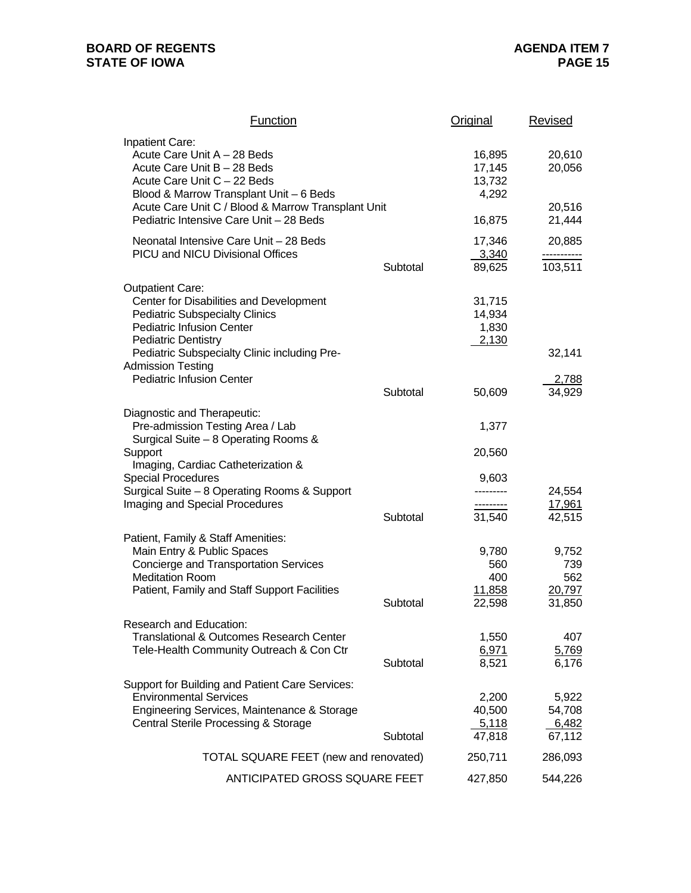# **BOARD OF REGENTS STATE OF IOWA**

| <b>Function</b>                                                                                                                                                                                                                                                 |          | <b>Original</b>                               | <b>Revised</b>                          |
|-----------------------------------------------------------------------------------------------------------------------------------------------------------------------------------------------------------------------------------------------------------------|----------|-----------------------------------------------|-----------------------------------------|
| <b>Inpatient Care:</b><br>Acute Care Unit A - 28 Beds<br>Acute Care Unit B - 28 Beds<br>Acute Care Unit C - 22 Beds<br>Blood & Marrow Transplant Unit - 6 Beds<br>Acute Care Unit C / Blood & Marrow Transplant Unit<br>Pediatric Intensive Care Unit - 28 Beds |          | 16,895<br>17,145<br>13,732<br>4,292<br>16,875 | 20,610<br>20,056<br>20,516<br>21,444    |
|                                                                                                                                                                                                                                                                 |          | 17,346                                        |                                         |
| Neonatal Intensive Care Unit - 28 Beds<br>PICU and NICU Divisional Offices                                                                                                                                                                                      | Subtotal | 3,340<br>89,625                               | 20,885<br>103,511                       |
| <b>Outpatient Care:</b><br>Center for Disabilities and Development<br><b>Pediatric Subspecialty Clinics</b><br><b>Pediatric Infusion Center</b><br><b>Pediatric Dentistry</b><br>Pediatric Subspecialty Clinic including Pre-                                   |          | 31,715<br>14,934<br>1,830<br>2,130            | 32,141                                  |
| <b>Admission Testing</b>                                                                                                                                                                                                                                        |          |                                               |                                         |
| <b>Pediatric Infusion Center</b>                                                                                                                                                                                                                                | Subtotal | 50,609                                        | 2,788<br>34,929                         |
| Diagnostic and Therapeutic:<br>Pre-admission Testing Area / Lab                                                                                                                                                                                                 |          | 1,377                                         |                                         |
| Surgical Suite - 8 Operating Rooms &<br>Support<br>Imaging, Cardiac Catheterization &                                                                                                                                                                           |          | 20,560                                        |                                         |
| <b>Special Procedures</b><br>Surgical Suite - 8 Operating Rooms & Support<br>Imaging and Special Procedures                                                                                                                                                     |          | 9,603<br>---------<br>---------               | 24,554<br>17,961                        |
|                                                                                                                                                                                                                                                                 | Subtotal | 31,540                                        | 42,515                                  |
| Patient, Family & Staff Amenities:<br>Main Entry & Public Spaces<br><b>Concierge and Transportation Services</b><br><b>Meditation Room</b><br>Patient, Family and Staff Support Facilities                                                                      | Subtotal | 9,780<br>560<br>400<br>11,858<br>22,598       | 9,752<br>739<br>562<br>20,797<br>31,850 |
| Research and Education:<br>Translational & Outcomes Research Center<br>Tele-Health Community Outreach & Con Ctr                                                                                                                                                 | Subtotal | 1,550<br>6,971<br>8,521                       | 407<br>5,769<br>6,176                   |
| Support for Building and Patient Care Services:<br><b>Environmental Services</b><br>Engineering Services, Maintenance & Storage<br><b>Central Sterile Processing &amp; Storage</b>                                                                              | Subtotal | 2,200<br>40,500<br>5,118<br>47,818            | 5,922<br>54,708<br>6,482<br>67,112      |
| <b>TOTAL SQUARE FEET (new and renovated)</b>                                                                                                                                                                                                                    |          | 250,711                                       | 286,093                                 |
| ANTICIPATED GROSS SQUARE FEET                                                                                                                                                                                                                                   |          | 427,850                                       | 544,226                                 |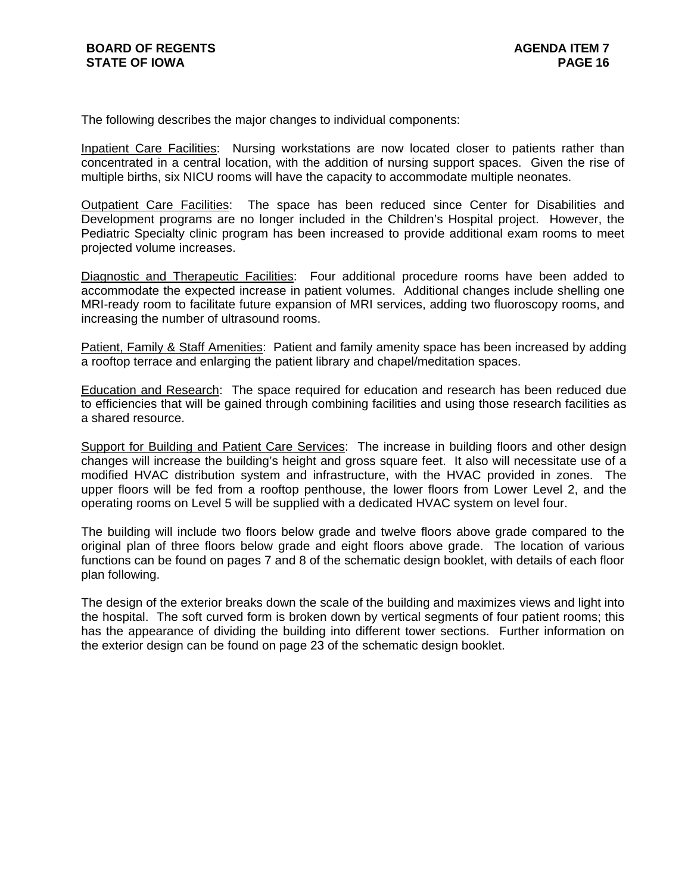The following describes the major changes to individual components:

Inpatient Care Facilities: Nursing workstations are now located closer to patients rather than concentrated in a central location, with the addition of nursing support spaces. Given the rise of multiple births, six NICU rooms will have the capacity to accommodate multiple neonates.

Outpatient Care Facilities: The space has been reduced since Center for Disabilities and Development programs are no longer included in the Children's Hospital project. However, the Pediatric Specialty clinic program has been increased to provide additional exam rooms to meet projected volume increases.

Diagnostic and Therapeutic Facilities: Four additional procedure rooms have been added to accommodate the expected increase in patient volumes. Additional changes include shelling one MRI-ready room to facilitate future expansion of MRI services, adding two fluoroscopy rooms, and increasing the number of ultrasound rooms.

Patient, Family & Staff Amenities: Patient and family amenity space has been increased by adding a rooftop terrace and enlarging the patient library and chapel/meditation spaces.

Education and Research: The space required for education and research has been reduced due to efficiencies that will be gained through combining facilities and using those research facilities as a shared resource.

Support for Building and Patient Care Services: The increase in building floors and other design changes will increase the building's height and gross square feet. It also will necessitate use of a modified HVAC distribution system and infrastructure, with the HVAC provided in zones. The upper floors will be fed from a rooftop penthouse, the lower floors from Lower Level 2, and the operating rooms on Level 5 will be supplied with a dedicated HVAC system on level four.

The building will include two floors below grade and twelve floors above grade compared to the original plan of three floors below grade and eight floors above grade. The location of various functions can be found on pages 7 and 8 of the schematic design booklet, with details of each floor plan following.

The design of the exterior breaks down the scale of the building and maximizes views and light into the hospital. The soft curved form is broken down by vertical segments of four patient rooms; this has the appearance of dividing the building into different tower sections. Further information on the exterior design can be found on page 23 of the schematic design booklet.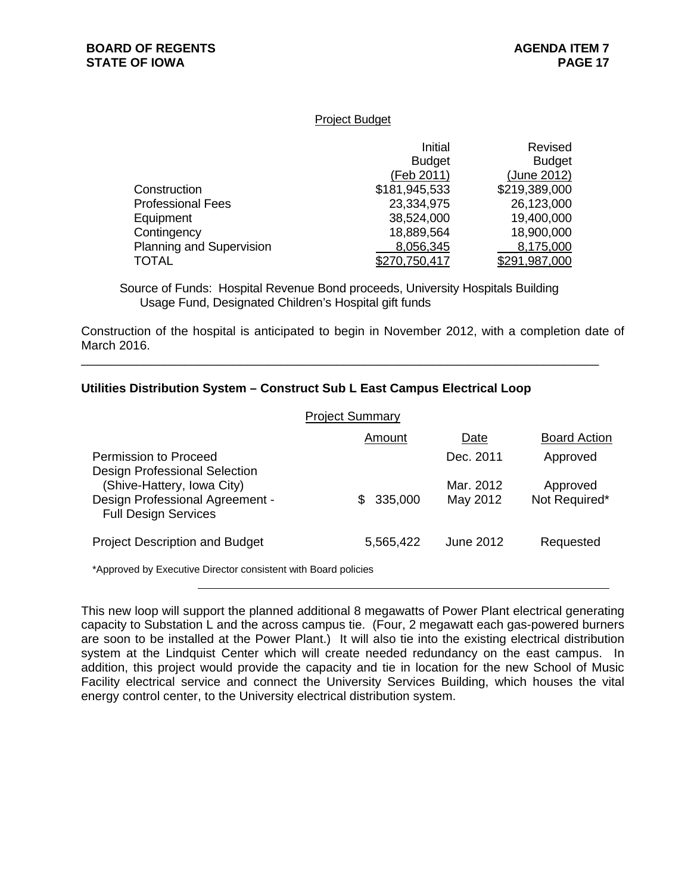#### Project Budget

|                          | Initial       | Revised       |
|--------------------------|---------------|---------------|
|                          | <b>Budget</b> | <b>Budget</b> |
|                          | (Feb 2011)    | (June 2012)   |
| Construction             | \$181,945,533 | \$219,389,000 |
| <b>Professional Fees</b> | 23,334,975    | 26,123,000    |
| Equipment                | 38,524,000    | 19,400,000    |
| Contingency              | 18,889,564    | 18,900,000    |
| Planning and Supervision | 8,056,345     | 8,175,000     |
| TOTAL                    | \$270,750,417 | \$291,987,000 |

Source of Funds: Hospital Revenue Bond proceeds, University Hospitals Building Usage Fund, Designated Children's Hospital gift funds

\_\_\_\_\_\_\_\_\_\_\_\_\_\_\_\_\_\_\_\_\_\_\_\_\_\_\_\_\_\_\_\_\_\_\_\_\_\_\_\_\_\_\_\_\_\_\_\_\_\_\_\_\_\_\_\_\_\_\_\_\_\_\_\_\_\_\_\_\_\_\_\_\_\_\_

Construction of the hospital is anticipated to begin in November 2012, with a completion date of March 2016.

# **Utilities Distribution System – Construct Sub L East Campus Electrical Loop**

|                                                                                                                               | <b>Project Summary</b> |                       |                           |
|-------------------------------------------------------------------------------------------------------------------------------|------------------------|-----------------------|---------------------------|
|                                                                                                                               | Amount                 | Date                  | <b>Board Action</b>       |
| Permission to Proceed                                                                                                         |                        | Dec. 2011             | Approved                  |
| Design Professional Selection<br>(Shive-Hattery, Iowa City)<br>Design Professional Agreement -<br><b>Full Design Services</b> | 335,000<br>S.          | Mar. 2012<br>May 2012 | Approved<br>Not Required* |
| <b>Project Description and Budget</b>                                                                                         | 5,565,422              | June 2012             | Requested                 |
| *Approved by Executive Director consistent with Board policies                                                                |                        |                       |                           |

This new loop will support the planned additional 8 megawatts of Power Plant electrical generating capacity to Substation L and the across campus tie. (Four, 2 megawatt each gas-powered burners are soon to be installed at the Power Plant.) It will also tie into the existing electrical distribution system at the Lindquist Center which will create needed redundancy on the east campus. In addition, this project would provide the capacity and tie in location for the new School of Music Facility electrical service and connect the University Services Building, which houses the vital energy control center, to the University electrical distribution system.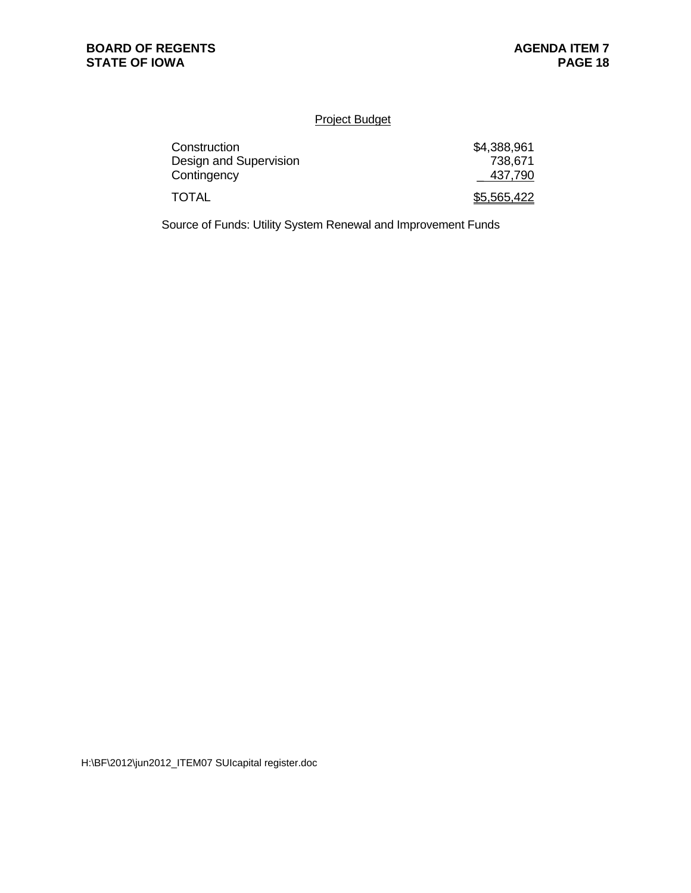# Project Budget

| Construction           | \$4,388,961 |
|------------------------|-------------|
| Design and Supervision | 738,671     |
| Contingency            | 437,790     |
| <b>TOTAL</b>           | \$5,565,422 |

Source of Funds: Utility System Renewal and Improvement Funds

H:\BF\2012\jun2012\_ITEM07 SUIcapital register.doc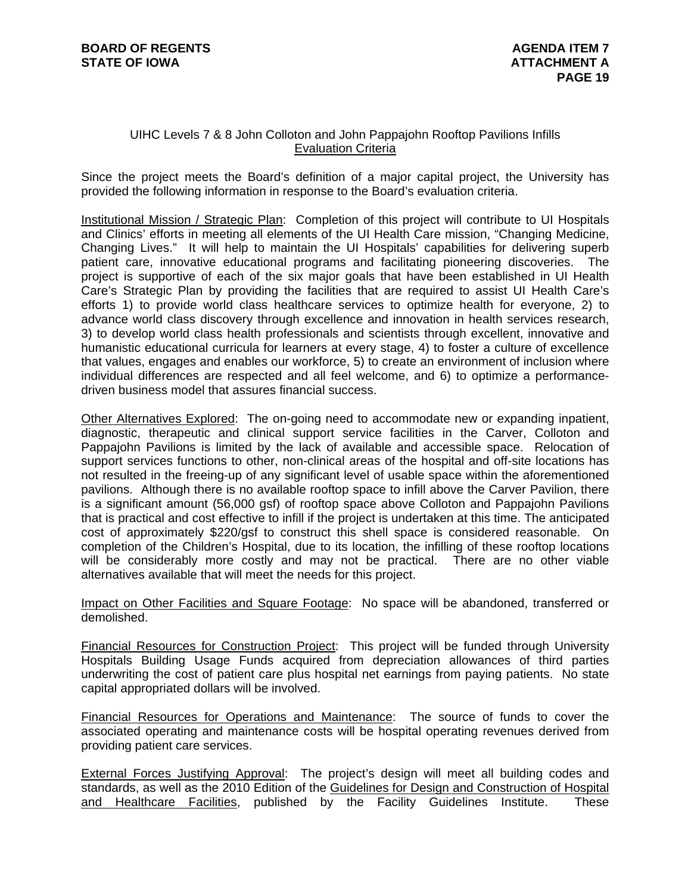# UIHC Levels 7 & 8 John Colloton and John Pappajohn Rooftop Pavilions Infills Evaluation Criteria

Since the project meets the Board's definition of a major capital project, the University has provided the following information in response to the Board's evaluation criteria.

Institutional Mission / Strategic Plan: Completion of this project will contribute to UI Hospitals and Clinics' efforts in meeting all elements of the UI Health Care mission, "Changing Medicine, Changing Lives." It will help to maintain the UI Hospitals' capabilities for delivering superb patient care, innovative educational programs and facilitating pioneering discoveries. The project is supportive of each of the six major goals that have been established in UI Health Care's Strategic Plan by providing the facilities that are required to assist UI Health Care's efforts 1) to provide world class healthcare services to optimize health for everyone, 2) to advance world class discovery through excellence and innovation in health services research, 3) to develop world class health professionals and scientists through excellent, innovative and humanistic educational curricula for learners at every stage, 4) to foster a culture of excellence that values, engages and enables our workforce, 5) to create an environment of inclusion where individual differences are respected and all feel welcome, and 6) to optimize a performancedriven business model that assures financial success.

Other Alternatives Explored: The on-going need to accommodate new or expanding inpatient, diagnostic, therapeutic and clinical support service facilities in the Carver, Colloton and Pappajohn Pavilions is limited by the lack of available and accessible space. Relocation of support services functions to other, non-clinical areas of the hospital and off-site locations has not resulted in the freeing-up of any significant level of usable space within the aforementioned pavilions. Although there is no available rooftop space to infill above the Carver Pavilion, there is a significant amount (56,000 gsf) of rooftop space above Colloton and Pappajohn Pavilions that is practical and cost effective to infill if the project is undertaken at this time. The anticipated cost of approximately \$220/gsf to construct this shell space is considered reasonable. On completion of the Children's Hospital, due to its location, the infilling of these rooftop locations will be considerably more costly and may not be practical. There are no other viable alternatives available that will meet the needs for this project.

Impact on Other Facilities and Square Footage: No space will be abandoned, transferred or demolished.

Financial Resources for Construction Project: This project will be funded through University Hospitals Building Usage Funds acquired from depreciation allowances of third parties underwriting the cost of patient care plus hospital net earnings from paying patients. No state capital appropriated dollars will be involved.

Financial Resources for Operations and Maintenance: The source of funds to cover the associated operating and maintenance costs will be hospital operating revenues derived from providing patient care services.

External Forces Justifying Approval: The project's design will meet all building codes and standards, as well as the 2010 Edition of the Guidelines for Design and Construction of Hospital and Healthcare Facilities, published by the Facility Guidelines Institute. These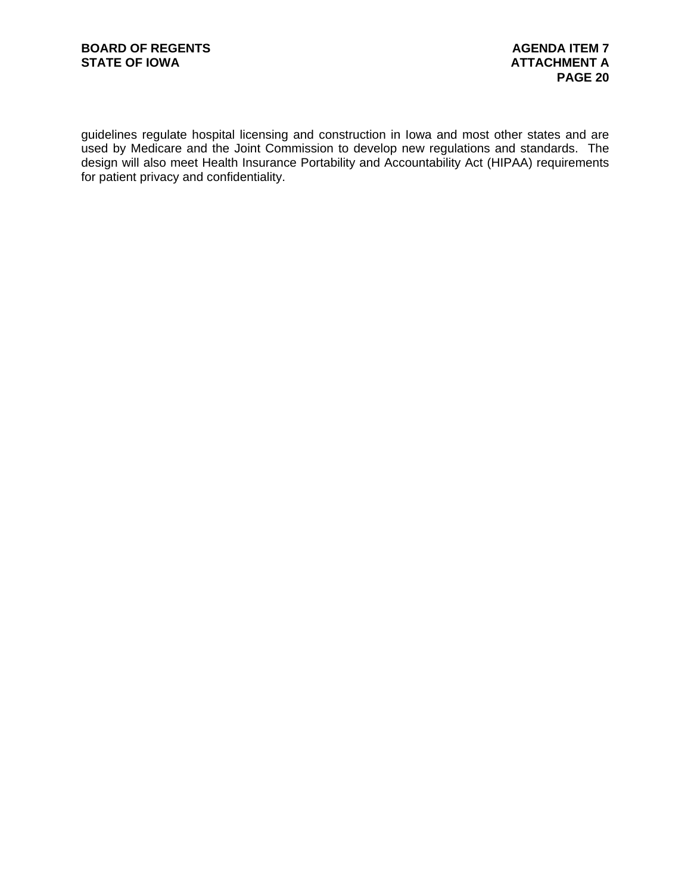guidelines regulate hospital licensing and construction in Iowa and most other states and are used by Medicare and the Joint Commission to develop new regulations and standards. The design will also meet Health Insurance Portability and Accountability Act (HIPAA) requirements for patient privacy and confidentiality.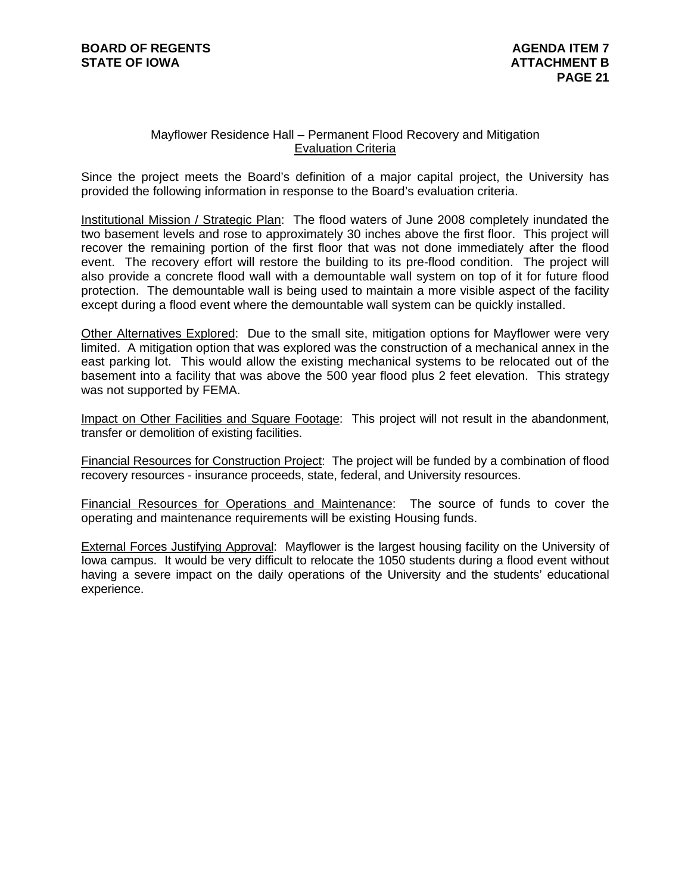# Mayflower Residence Hall – Permanent Flood Recovery and Mitigation Evaluation Criteria

Since the project meets the Board's definition of a major capital project, the University has provided the following information in response to the Board's evaluation criteria.

Institutional Mission / Strategic Plan: The flood waters of June 2008 completely inundated the two basement levels and rose to approximately 30 inches above the first floor. This project will recover the remaining portion of the first floor that was not done immediately after the flood event. The recovery effort will restore the building to its pre-flood condition. The project will also provide a concrete flood wall with a demountable wall system on top of it for future flood protection. The demountable wall is being used to maintain a more visible aspect of the facility except during a flood event where the demountable wall system can be quickly installed.

Other Alternatives Explored: Due to the small site, mitigation options for Mayflower were very limited. A mitigation option that was explored was the construction of a mechanical annex in the east parking lot. This would allow the existing mechanical systems to be relocated out of the basement into a facility that was above the 500 year flood plus 2 feet elevation. This strategy was not supported by FEMA.

Impact on Other Facilities and Square Footage: This project will not result in the abandonment, transfer or demolition of existing facilities.

Financial Resources for Construction Project: The project will be funded by a combination of flood recovery resources - insurance proceeds, state, federal, and University resources.

Financial Resources for Operations and Maintenance: The source of funds to cover the operating and maintenance requirements will be existing Housing funds.

External Forces Justifying Approval: Mayflower is the largest housing facility on the University of Iowa campus. It would be very difficult to relocate the 1050 students during a flood event without having a severe impact on the daily operations of the University and the students' educational experience.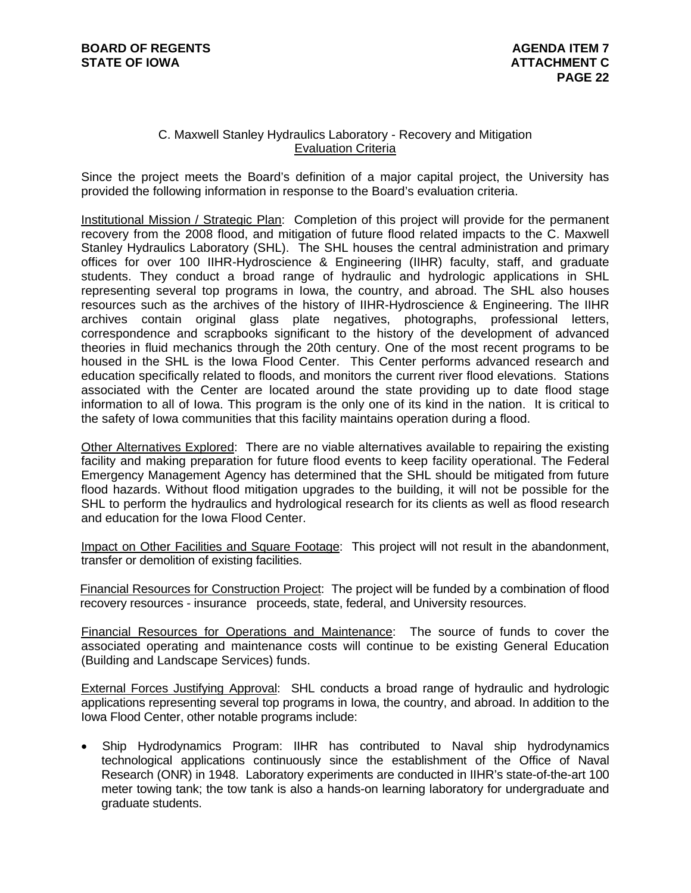# C. Maxwell Stanley Hydraulics Laboratory - Recovery and Mitigation Evaluation Criteria

Since the project meets the Board's definition of a major capital project, the University has provided the following information in response to the Board's evaluation criteria.

Institutional Mission / Strategic Plan: Completion of this project will provide for the permanent recovery from the 2008 flood, and mitigation of future flood related impacts to the C. Maxwell Stanley Hydraulics Laboratory (SHL). The SHL houses the central administration and primary offices for over 100 IIHR-Hydroscience & Engineering (IIHR) faculty, staff, and graduate students. They conduct a broad range of hydraulic and hydrologic applications in SHL representing several top programs in Iowa, the country, and abroad. The SHL also houses resources such as the archives of the history of IIHR-Hydroscience & Engineering. The IIHR archives contain original glass plate negatives, photographs, professional letters, correspondence and scrapbooks significant to the history of the development of advanced theories in fluid mechanics through the 20th century. One of the most recent programs to be housed in the SHL is the Iowa Flood Center. This Center performs advanced research and education specifically related to floods, and monitors the current river flood elevations. Stations associated with the Center are located around the state providing up to date flood stage information to all of Iowa. This program is the only one of its kind in the nation. It is critical to the safety of Iowa communities that this facility maintains operation during a flood.

Other Alternatives Explored: There are no viable alternatives available to repairing the existing facility and making preparation for future flood events to keep facility operational. The Federal Emergency Management Agency has determined that the SHL should be mitigated from future flood hazards. Without flood mitigation upgrades to the building, it will not be possible for the SHL to perform the hydraulics and hydrological research for its clients as well as flood research and education for the Iowa Flood Center.

Impact on Other Facilities and Square Footage: This project will not result in the abandonment, transfer or demolition of existing facilities.

Financial Resources for Construction Project: The project will be funded by a combination of flood recovery resources - insurance proceeds, state, federal, and University resources.

Financial Resources for Operations and Maintenance: The source of funds to cover the associated operating and maintenance costs will continue to be existing General Education (Building and Landscape Services) funds.

External Forces Justifying Approval: SHL conducts a broad range of hydraulic and hydrologic applications representing several top programs in Iowa, the country, and abroad. In addition to the Iowa Flood Center, other notable programs include:

 Ship Hydrodynamics Program: IIHR has contributed to Naval ship hydrodynamics technological applications continuously since the establishment of the Office of Naval Research (ONR) in 1948. Laboratory experiments are conducted in IIHR's state-of-the-art 100 meter towing tank; the tow tank is also a hands-on learning laboratory for undergraduate and graduate students.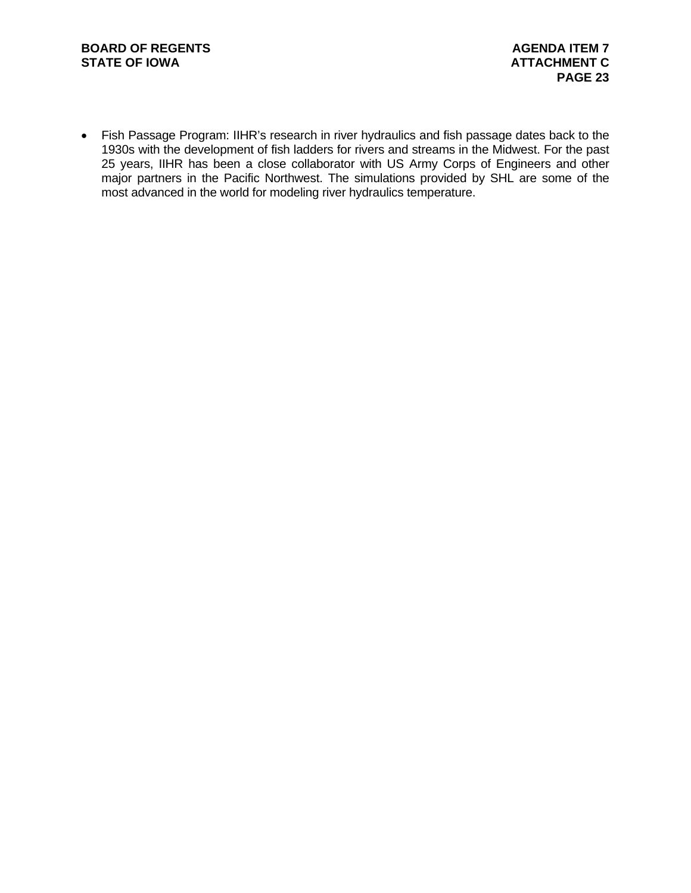Fish Passage Program: IIHR's research in river hydraulics and fish passage dates back to the 1930s with the development of fish ladders for rivers and streams in the Midwest. For the past 25 years, IIHR has been a close collaborator with US Army Corps of Engineers and other major partners in the Pacific Northwest. The simulations provided by SHL are some of the most advanced in the world for modeling river hydraulics temperature.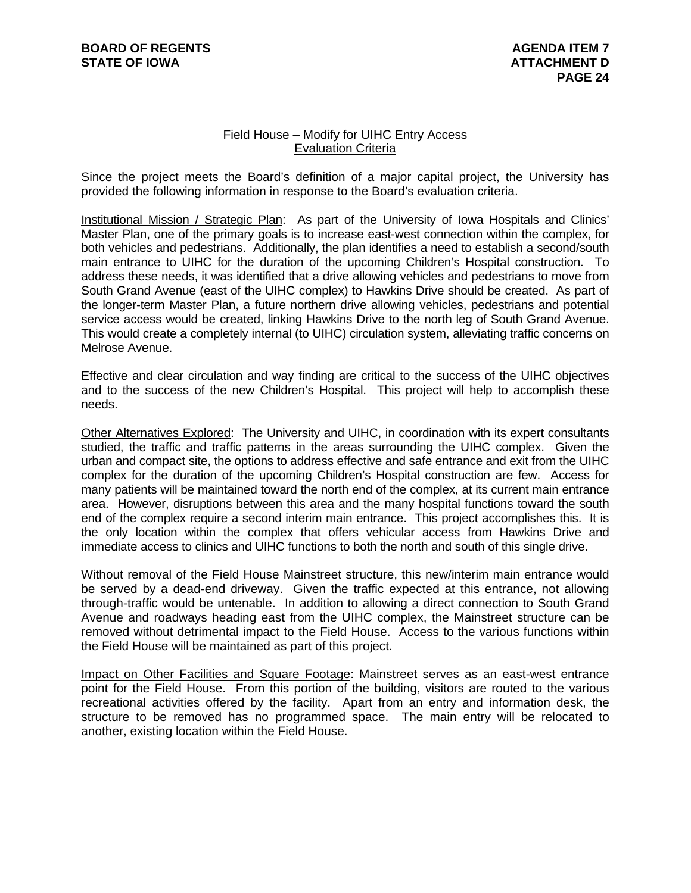# Field House – Modify for UIHC Entry Access Evaluation Criteria

Since the project meets the Board's definition of a major capital project, the University has provided the following information in response to the Board's evaluation criteria.

Institutional Mission / Strategic Plan: As part of the University of Iowa Hospitals and Clinics' Master Plan, one of the primary goals is to increase east-west connection within the complex, for both vehicles and pedestrians. Additionally, the plan identifies a need to establish a second/south main entrance to UIHC for the duration of the upcoming Children's Hospital construction. To address these needs, it was identified that a drive allowing vehicles and pedestrians to move from South Grand Avenue (east of the UIHC complex) to Hawkins Drive should be created. As part of the longer-term Master Plan, a future northern drive allowing vehicles, pedestrians and potential service access would be created, linking Hawkins Drive to the north leg of South Grand Avenue. This would create a completely internal (to UIHC) circulation system, alleviating traffic concerns on Melrose Avenue.

Effective and clear circulation and way finding are critical to the success of the UIHC objectives and to the success of the new Children's Hospital. This project will help to accomplish these needs.

Other Alternatives Explored: The University and UIHC, in coordination with its expert consultants studied, the traffic and traffic patterns in the areas surrounding the UIHC complex. Given the urban and compact site, the options to address effective and safe entrance and exit from the UIHC complex for the duration of the upcoming Children's Hospital construction are few. Access for many patients will be maintained toward the north end of the complex, at its current main entrance area. However, disruptions between this area and the many hospital functions toward the south end of the complex require a second interim main entrance. This project accomplishes this. It is the only location within the complex that offers vehicular access from Hawkins Drive and immediate access to clinics and UIHC functions to both the north and south of this single drive.

Without removal of the Field House Mainstreet structure, this new/interim main entrance would be served by a dead-end driveway. Given the traffic expected at this entrance, not allowing through-traffic would be untenable. In addition to allowing a direct connection to South Grand Avenue and roadways heading east from the UIHC complex, the Mainstreet structure can be removed without detrimental impact to the Field House. Access to the various functions within the Field House will be maintained as part of this project.

Impact on Other Facilities and Square Footage: Mainstreet serves as an east-west entrance point for the Field House. From this portion of the building, visitors are routed to the various recreational activities offered by the facility. Apart from an entry and information desk, the structure to be removed has no programmed space. The main entry will be relocated to another, existing location within the Field House.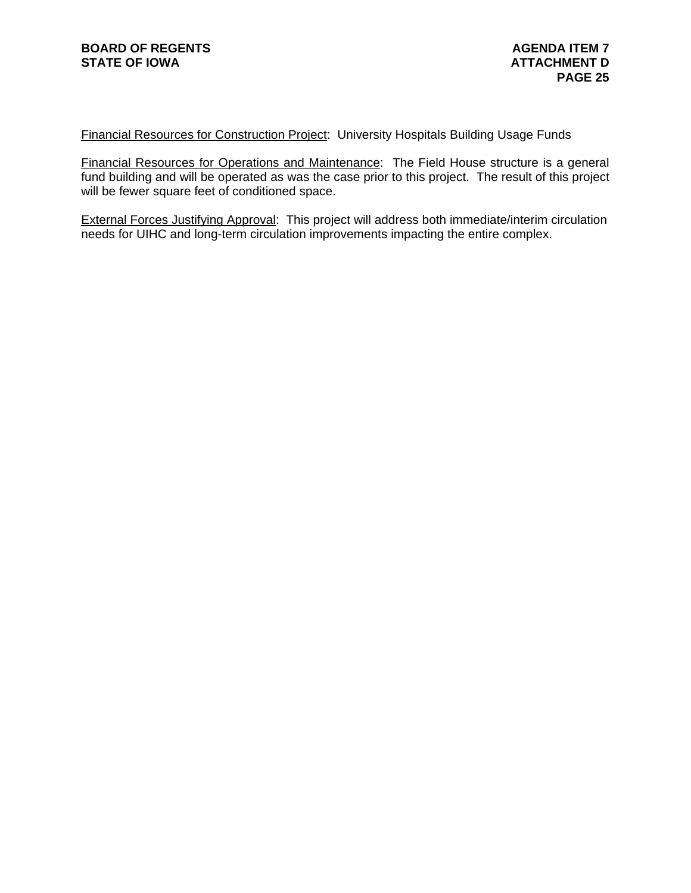Financial Resources for Construction Project: University Hospitals Building Usage Funds

Financial Resources for Operations and Maintenance: The Field House structure is a general fund building and will be operated as was the case prior to this project. The result of this project will be fewer square feet of conditioned space.

External Forces Justifying Approval: This project will address both immediate/interim circulation needs for UIHC and long-term circulation improvements impacting the entire complex.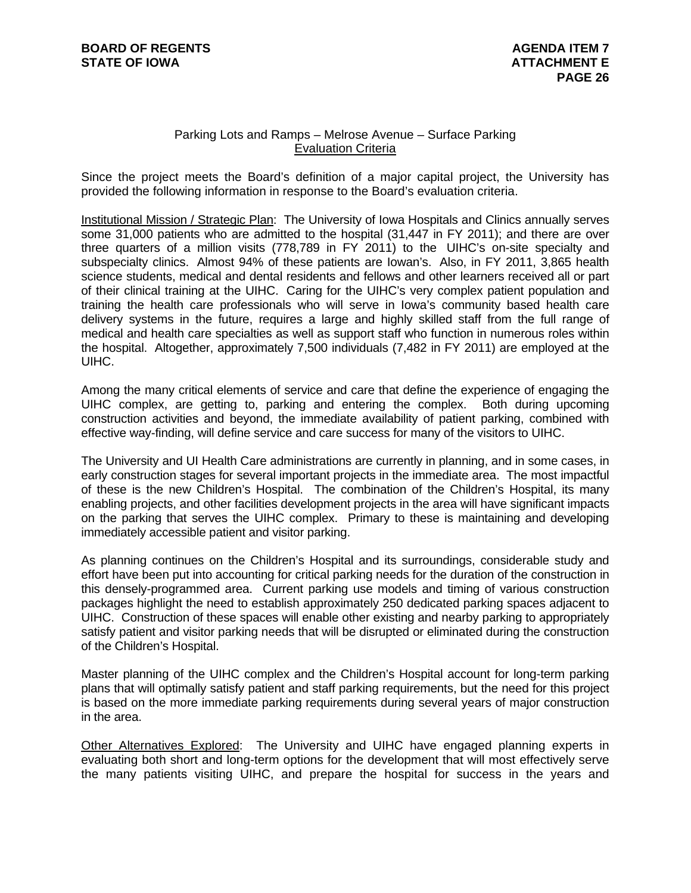# Parking Lots and Ramps – Melrose Avenue – Surface Parking Evaluation Criteria

Since the project meets the Board's definition of a major capital project, the University has provided the following information in response to the Board's evaluation criteria.

Institutional Mission / Strategic Plan: The University of Iowa Hospitals and Clinics annually serves some 31,000 patients who are admitted to the hospital (31,447 in FY 2011); and there are over three quarters of a million visits (778,789 in FY 2011) to the UIHC's on-site specialty and subspecialty clinics. Almost 94% of these patients are Iowan's. Also, in FY 2011, 3,865 health science students, medical and dental residents and fellows and other learners received all or part of their clinical training at the UIHC. Caring for the UIHC's very complex patient population and training the health care professionals who will serve in Iowa's community based health care delivery systems in the future, requires a large and highly skilled staff from the full range of medical and health care specialties as well as support staff who function in numerous roles within the hospital. Altogether, approximately 7,500 individuals (7,482 in FY 2011) are employed at the UIHC.

Among the many critical elements of service and care that define the experience of engaging the UIHC complex, are getting to, parking and entering the complex. Both during upcoming construction activities and beyond, the immediate availability of patient parking, combined with effective way-finding, will define service and care success for many of the visitors to UIHC.

The University and UI Health Care administrations are currently in planning, and in some cases, in early construction stages for several important projects in the immediate area. The most impactful of these is the new Children's Hospital. The combination of the Children's Hospital, its many enabling projects, and other facilities development projects in the area will have significant impacts on the parking that serves the UIHC complex. Primary to these is maintaining and developing immediately accessible patient and visitor parking.

As planning continues on the Children's Hospital and its surroundings, considerable study and effort have been put into accounting for critical parking needs for the duration of the construction in this densely-programmed area. Current parking use models and timing of various construction packages highlight the need to establish approximately 250 dedicated parking spaces adjacent to UIHC. Construction of these spaces will enable other existing and nearby parking to appropriately satisfy patient and visitor parking needs that will be disrupted or eliminated during the construction of the Children's Hospital.

Master planning of the UIHC complex and the Children's Hospital account for long-term parking plans that will optimally satisfy patient and staff parking requirements, but the need for this project is based on the more immediate parking requirements during several years of major construction in the area.

Other Alternatives Explored: The University and UIHC have engaged planning experts in evaluating both short and long-term options for the development that will most effectively serve the many patients visiting UIHC, and prepare the hospital for success in the years and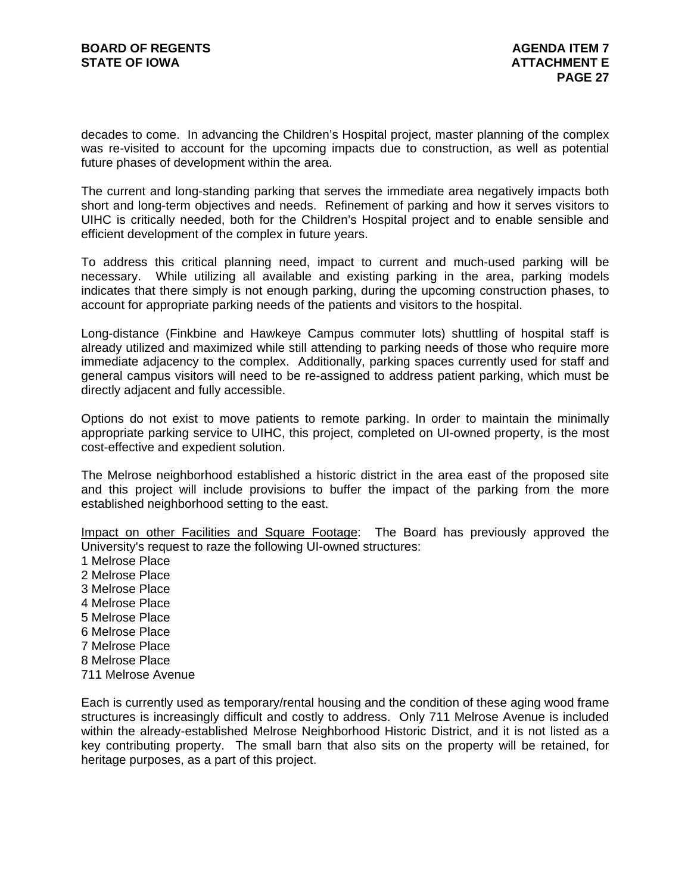decades to come. In advancing the Children's Hospital project, master planning of the complex was re-visited to account for the upcoming impacts due to construction, as well as potential future phases of development within the area.

The current and long-standing parking that serves the immediate area negatively impacts both short and long-term objectives and needs. Refinement of parking and how it serves visitors to UIHC is critically needed, both for the Children's Hospital project and to enable sensible and efficient development of the complex in future years.

To address this critical planning need, impact to current and much-used parking will be necessary. While utilizing all available and existing parking in the area, parking models indicates that there simply is not enough parking, during the upcoming construction phases, to account for appropriate parking needs of the patients and visitors to the hospital.

Long-distance (Finkbine and Hawkeye Campus commuter lots) shuttling of hospital staff is already utilized and maximized while still attending to parking needs of those who require more immediate adjacency to the complex. Additionally, parking spaces currently used for staff and general campus visitors will need to be re-assigned to address patient parking, which must be directly adjacent and fully accessible.

Options do not exist to move patients to remote parking. In order to maintain the minimally appropriate parking service to UIHC, this project, completed on UI-owned property, is the most cost-effective and expedient solution.

The Melrose neighborhood established a historic district in the area east of the proposed site and this project will include provisions to buffer the impact of the parking from the more established neighborhood setting to the east.

Impact on other Facilities and Square Footage: The Board has previously approved the University's request to raze the following UI-owned structures:

1 Melrose Place 2 Melrose Place 3 Melrose Place 4 Melrose Place 5 Melrose Place 6 Melrose Place 7 Melrose Place 8 Melrose Place 711 Melrose Avenue

Each is currently used as temporary/rental housing and the condition of these aging wood frame structures is increasingly difficult and costly to address. Only 711 Melrose Avenue is included within the already-established Melrose Neighborhood Historic District, and it is not listed as a key contributing property. The small barn that also sits on the property will be retained, for heritage purposes, as a part of this project.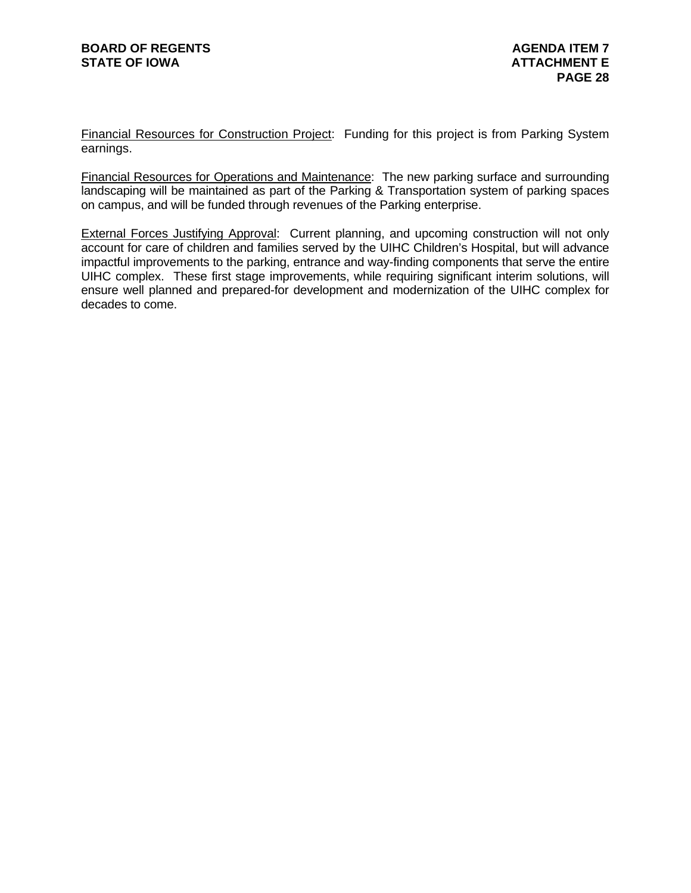Financial Resources for Construction Project: Funding for this project is from Parking System earnings.

Financial Resources for Operations and Maintenance: The new parking surface and surrounding landscaping will be maintained as part of the Parking & Transportation system of parking spaces on campus, and will be funded through revenues of the Parking enterprise.

External Forces Justifying Approval: Current planning, and upcoming construction will not only account for care of children and families served by the UIHC Children's Hospital, but will advance impactful improvements to the parking, entrance and way-finding components that serve the entire UIHC complex. These first stage improvements, while requiring significant interim solutions, will ensure well planned and prepared-for development and modernization of the UIHC complex for decades to come.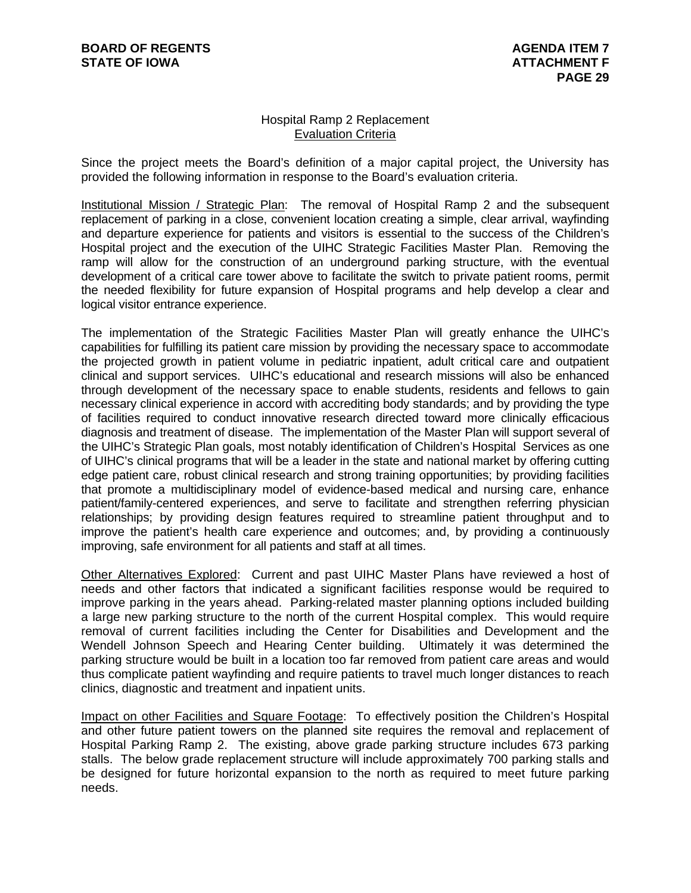# Hospital Ramp 2 Replacement Evaluation Criteria

Since the project meets the Board's definition of a major capital project, the University has provided the following information in response to the Board's evaluation criteria.

Institutional Mission / Strategic Plan: The removal of Hospital Ramp 2 and the subsequent replacement of parking in a close, convenient location creating a simple, clear arrival, wayfinding and departure experience for patients and visitors is essential to the success of the Children's Hospital project and the execution of the UIHC Strategic Facilities Master Plan. Removing the ramp will allow for the construction of an underground parking structure, with the eventual development of a critical care tower above to facilitate the switch to private patient rooms, permit the needed flexibility for future expansion of Hospital programs and help develop a clear and logical visitor entrance experience.

The implementation of the Strategic Facilities Master Plan will greatly enhance the UIHC's capabilities for fulfilling its patient care mission by providing the necessary space to accommodate the projected growth in patient volume in pediatric inpatient, adult critical care and outpatient clinical and support services. UIHC's educational and research missions will also be enhanced through development of the necessary space to enable students, residents and fellows to gain necessary clinical experience in accord with accrediting body standards; and by providing the type of facilities required to conduct innovative research directed toward more clinically efficacious diagnosis and treatment of disease. The implementation of the Master Plan will support several of the UIHC's Strategic Plan goals, most notably identification of Children's Hospital Services as one of UIHC's clinical programs that will be a leader in the state and national market by offering cutting edge patient care, robust clinical research and strong training opportunities; by providing facilities that promote a multidisciplinary model of evidence-based medical and nursing care, enhance patient/family-centered experiences, and serve to facilitate and strengthen referring physician relationships; by providing design features required to streamline patient throughput and to improve the patient's health care experience and outcomes; and, by providing a continuously improving, safe environment for all patients and staff at all times.

Other Alternatives Explored: Current and past UIHC Master Plans have reviewed a host of needs and other factors that indicated a significant facilities response would be required to improve parking in the years ahead. Parking-related master planning options included building a large new parking structure to the north of the current Hospital complex. This would require removal of current facilities including the Center for Disabilities and Development and the Wendell Johnson Speech and Hearing Center building. Ultimately it was determined the parking structure would be built in a location too far removed from patient care areas and would thus complicate patient wayfinding and require patients to travel much longer distances to reach clinics, diagnostic and treatment and inpatient units.

Impact on other Facilities and Square Footage: To effectively position the Children's Hospital and other future patient towers on the planned site requires the removal and replacement of Hospital Parking Ramp 2. The existing, above grade parking structure includes 673 parking stalls. The below grade replacement structure will include approximately 700 parking stalls and be designed for future horizontal expansion to the north as required to meet future parking needs.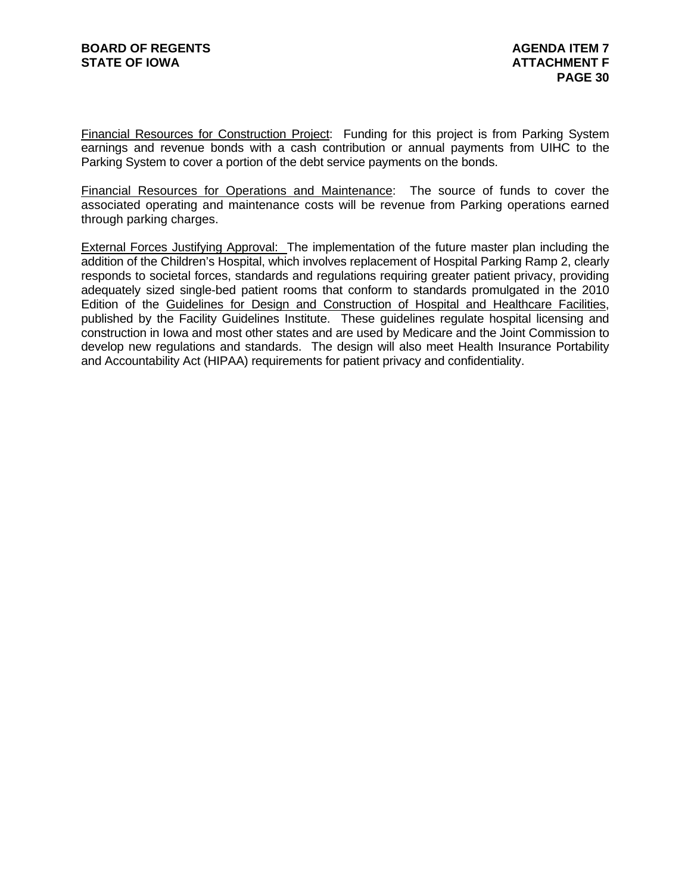Financial Resources for Construction Project: Funding for this project is from Parking System earnings and revenue bonds with a cash contribution or annual payments from UIHC to the Parking System to cover a portion of the debt service payments on the bonds.

Financial Resources for Operations and Maintenance: The source of funds to cover the associated operating and maintenance costs will be revenue from Parking operations earned through parking charges.

External Forces Justifying Approval: The implementation of the future master plan including the addition of the Children's Hospital, which involves replacement of Hospital Parking Ramp 2, clearly responds to societal forces, standards and regulations requiring greater patient privacy, providing adequately sized single-bed patient rooms that conform to standards promulgated in the 2010 Edition of the Guidelines for Design and Construction of Hospital and Healthcare Facilities, published by the Facility Guidelines Institute. These guidelines regulate hospital licensing and construction in Iowa and most other states and are used by Medicare and the Joint Commission to develop new regulations and standards. The design will also meet Health Insurance Portability and Accountability Act (HIPAA) requirements for patient privacy and confidentiality.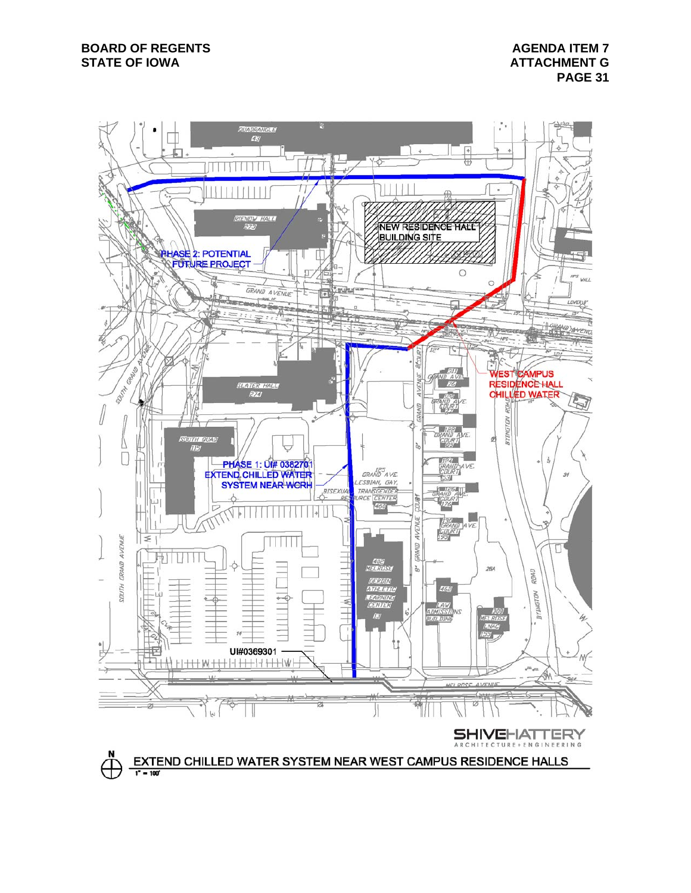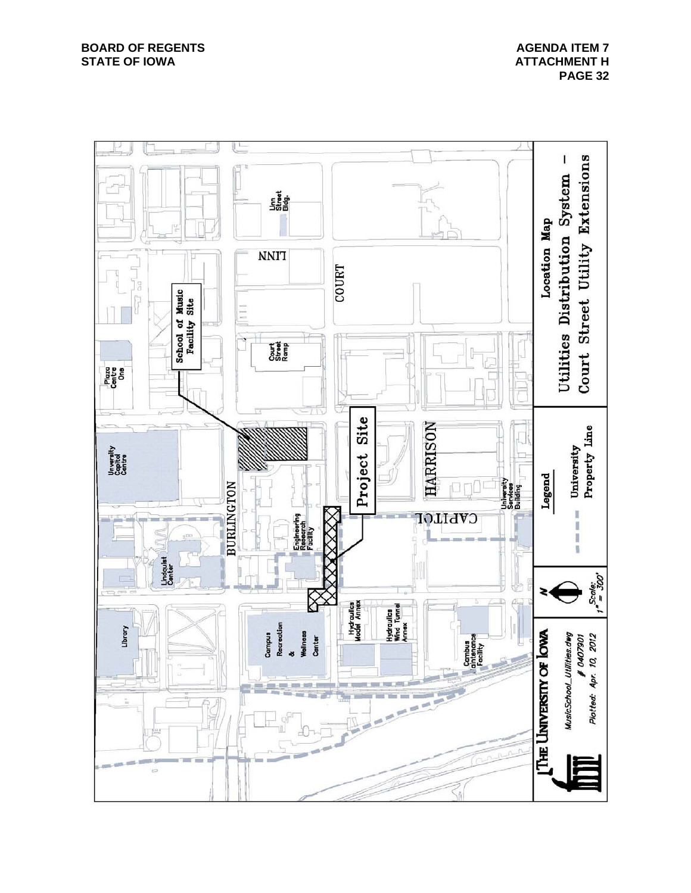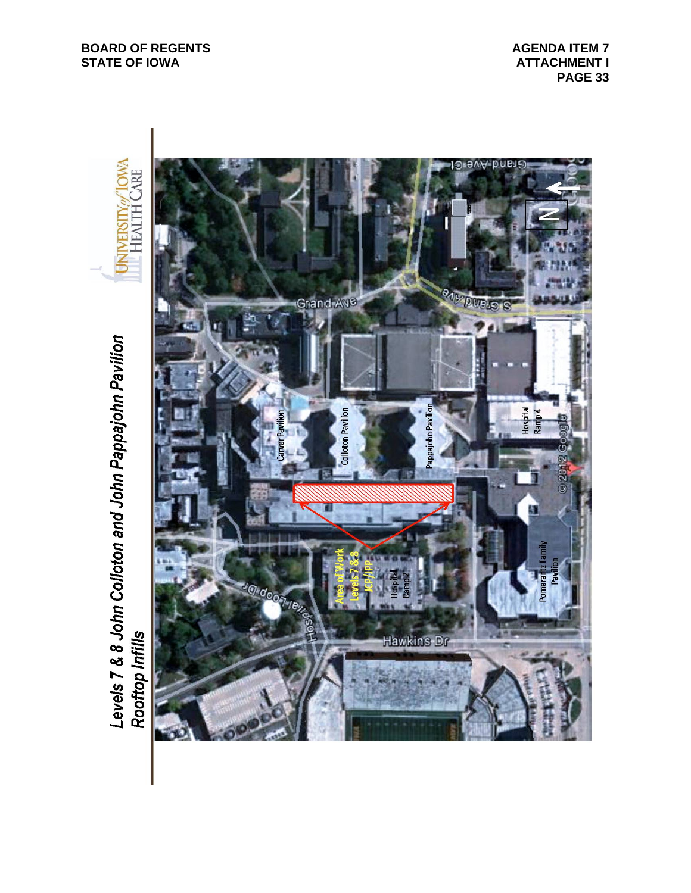**BOARD OF REGENTS STATE OF IOWA** 

**AGENDA ITEM 7 ATTACHMENT I PAGE 33**



Levels 7 & 8 John Colloton and John Pappajohn Pavilion<br>Rooftop Infills